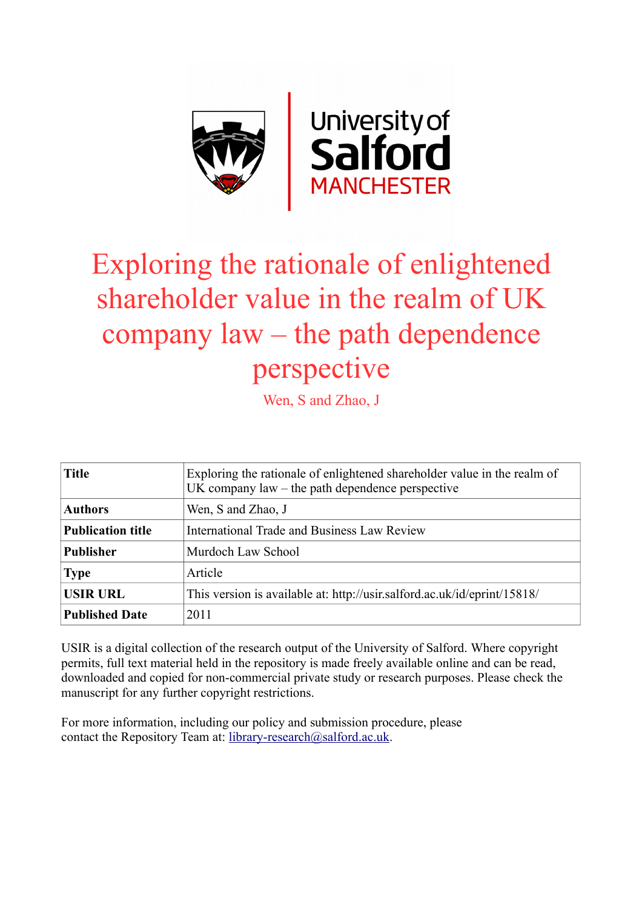

# Exploring the rationale of enlightened shareholder value in the realm of UK company law – the path dependence perspective

Wen, S and Zhao, J

| <b>Title</b>             | Exploring the rationale of enlightened shareholder value in the realm of<br>$UK$ company law $-$ the path dependence perspective |
|--------------------------|----------------------------------------------------------------------------------------------------------------------------------|
| <b>Authors</b>           | Wen, S and Zhao, J                                                                                                               |
| <b>Publication title</b> | <b>International Trade and Business Law Review</b>                                                                               |
| <b>Publisher</b>         | Murdoch Law School                                                                                                               |
| <b>Type</b>              | Article                                                                                                                          |
| <b>USIR URL</b>          | This version is available at: http://usir.salford.ac.uk/id/eprint/15818/                                                         |
| <b>Published Date</b>    | 2011                                                                                                                             |

USIR is a digital collection of the research output of the University of Salford. Where copyright permits, full text material held in the repository is made freely available online and can be read, downloaded and copied for non-commercial private study or research purposes. Please check the manuscript for any further copyright restrictions.

For more information, including our policy and submission procedure, please contact the Repository Team at: [library-research@salford.ac.uk.](mailto:library-research@salford.ac.uk)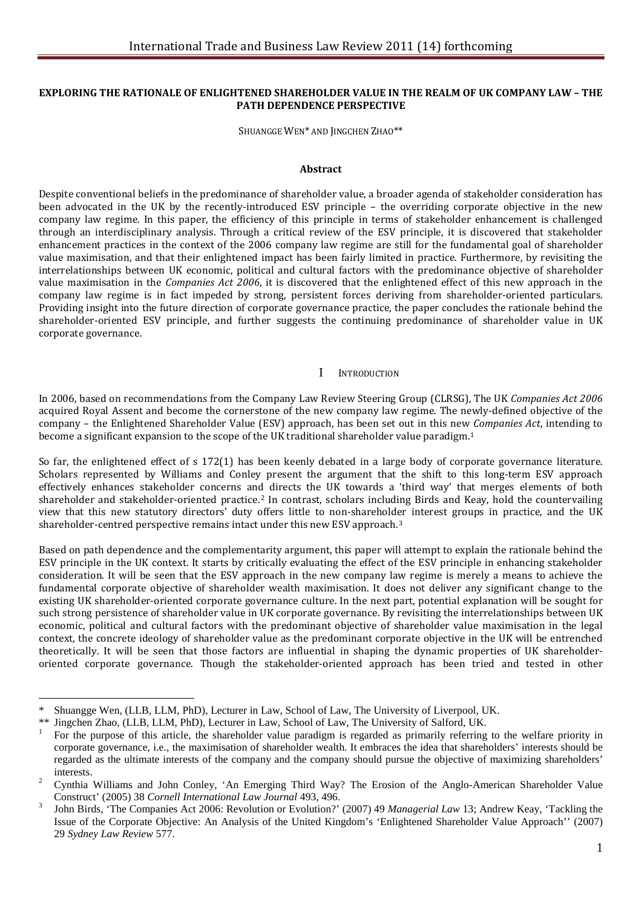#### **EXPLORING THE RATIONALE OF ENLIGHTENED SHAREHOLDER VALUE IN THE REALM OF UK COMPANY LAW – THE PATH DEPENDENCE PERSPECTIVE**

SHUANGGE WEN\* AND JINGCHEN ZHAO\*\*

#### **Abstract**

Despite conventional beliefs in the predominance of shareholder value, a broader agenda of stakeholder consideration has been advocated in the UK by the recently-introduced ESV principle – the overriding corporate objective in the new company law regime. In this paper, the efficiency of this principle in terms of stakeholder enhancement is challenged through an interdisciplinary analysis. Through a critical review of the ESV principle, it is discovered that stakeholder enhancement practices in the context of the 2006 company law regime are still for the fundamental goal of shareholder value maximisation, and that their enlightened impact has been fairly limited in practice. Furthermore, by revisiting the interrelationships between UK economic, political and cultural factors with the predominance objective of shareholder value maximisation in the *Companies Act 2006*, it is discovered that the enlightened effect of this new approach in the company law regime is in fact impeded by strong, persistent forces deriving from shareholder-oriented particulars. Providing insight into the future direction of corporate governance practice, the paper concludes the rationale behind the shareholder-oriented ESV principle, and further suggests the continuing predominance of shareholder value in UK corporate governance.

#### I INTRODUCTION

In 2006, based on recommendations from the Company Law Review Steering Group (CLRSG), The UK *Companies Act 2006* acquired Royal Assent and become the cornerstone of the new company law regime. The newly-defined objective of the company – the Enlightened Shareholder Value (ESV) approach, has been set out in this new *Companies Act*, intending to become a significant expansion to the scope of the UK traditional shareholder value paradigm.[1](#page-1-0)

So far, the enlightened effect of s 172(1) has been keenly debated in a large body of corporate governance literature. Scholars represented by Williams and Conley present the argument that the shift to this long-term ESV approach effectively enhances stakeholder concerns an[d](#page-1-1) directs the UK towards a 'third way' that merges elements of both shareholder and stakeholder-oriented practice.2 In contrast, scholars including Birds and Keay, hold the countervailing view that this new statutory directors' duty offers little to non-sharehold[er](#page-1-2) interest groups in practice, and the UK shareholder-centred perspective remains intact under this new ESV approach.3

Based on path dependence and the complementarity argument, this paper will attempt to explain the rationale behind the ESV principle in the UK context. It starts by critically evaluating the effect of the ESV principle in enhancing stakeholder consideration. It will be seen that the ESV approach in the new company law regime is merely a means to achieve the fundamental corporate objective of shareholder wealth maximisation. It does not deliver any significant change to the existing UK shareholder-oriented corporate governance culture. In the next part, potential explanation will be sought for such strong persistence of shareholder value in UK corporate governance. By revisiting the interrelationships between UK economic, political and cultural factors with the predominant objective of shareholder value maximisation in the legal context, the concrete ideology of shareholder value as the predominant corporate objective in the UK will be entrenched theoretically. It will be seen that those factors are influential in shaping the dynamic properties of UK shareholderoriented corporate governance. Though the stakeholder-oriented approach has been tried and tested in other

<span id="page-1-0"></span><sup>\*</sup> Shuangge Wen, (LLB, LLM, PhD), Lecturer in Law, School of Law, The University of Liverpool, UK.

For the purpose of this article, the shareholder value paradigm is regarded as primarily referring to the welfare priority in corporate governance, i.e., the maximisation of shareholder wealth. It embraces the idea that shareholders' interests should be regarded as the ultimate interests of the company and the company should pursue the objective of maximizing shareholders'

<span id="page-1-1"></span>interests.<br>
2 Cynthia Williams and John Conley, 'An Emerging Third Way? The Erosion of the Anglo-American Shareholder Value<br>
Construct' (2005) 38 Cornell International Law Journal 493, 496.

<span id="page-1-2"></span>Construct' (2005) 38 *Cornell International Law Journal* 493, 496. <sup>3</sup> John Birds, 'The Companies Act 2006: Revolution or Evolution?' (2007) 49 *Managerial Law* 13; Andrew Keay, 'Tackling the Issue of the Corporate Objective: An Analysis of the United Kingdom's 'Enlightened Shareholder Value Approach'' (2007) 29 *Sydney Law Review* 577.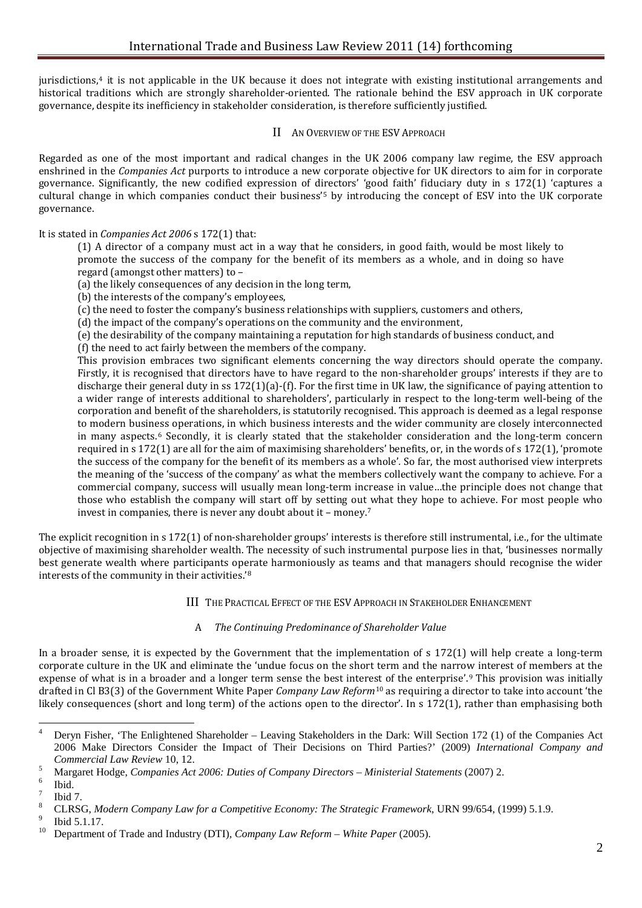jurisdictions,[4](#page-2-0) it is not applicable in the UK because it does not integrate with existing institutional arrangements and historical traditions which are strongly shareholder-oriented. The rationale behind the ESV approach in UK corporate governance, despite its inefficiency in stakeholder consideration, is therefore sufficiently justified.

# II AN OVERVIEW OF THE ESV APPROACH

Regarded as one of the most important and radical changes in the UK 2006 company law regime, the ESV approach enshrined in the *Companies Act* purports to introduce a new corporate objective for UK directors to aim for in corporate governance. Significantly, the new codified expression of directors' 'good faith' fiduciary duty in s 172(1) 'captures a cultural change in which companies conduct their business'[5](#page-2-1) by introducing the concept of ESV into the UK corporate governance.

It is stated in *Companies Act 2006* s 172(1) that:

(1) A director of a company must act in a way that he considers, in good faith, would be most likely to promote the success of the company for the benefit of its members as a whole, and in doing so have regard (amongst other matters) to –

- (a) the likely consequences of any decision in the long term,
- (b) the interests of the company's employees,
- (c) the need to foster the company's business relationships with suppliers, customers and others,
- (d) the impact of the company's operations on the community and the environment,
- (e) the desirability of the company maintaining a reputation for high standards of business conduct, and

(f) the need to act fairly between the members of the company.

This provision embraces two significant elements concerning the way directors should operate the company. Firstly, it is recognised that directors have to have regard to the non-shareholder groups' interests if they are to discharge their general duty in ss 172(1)(a)-(f). For the first time in UK law, the significance of paying attention to a wider range of interests additional to shareholders', particularly in respect to the long-term well-being of the corporation and benefit of the shareholders, is statutorily recognised. This approach is deemed as a legal response to modern business operations, in which business interests and the wider community are closely interconnected in many aspects.[6](#page-2-2) Secondly, it is clearly stated that the stakeholder consideration and the long-term concern required in s 172(1) are all for the aim of maximising shareholders' benefits, or, in the words of s 172(1), 'promote the success of the company for the benefit of its members as a whole'*.* So far, the most authorised view interprets the meaning of the 'success of the company' as what the members collectively want the company to achieve. For a commercial company, success will usually mean long-term increase in value…the principle does not change that those who establish the company will start off by setting out [w](#page-2-3)hat they hope to achieve. For most people who invest in companies, there is never any doubt about it – money.7

The explicit recognition in s 172(1) of non-shareholder groups' interests is therefore still instrumental, i.e., for the ultimate objective of maximising shareholder wealth. The necessity of such instrumental purpose lies in that, 'businesses normally best generate wealth where participants op[er](#page-2-4)ate harmoniously as teams and that managers should recognise the wider interests of the community in their activities.'8

III THE PRACTICAL EFFECT OF THE ESV APPROACH IN STAKEHOLDER ENHANCEMENT

# A *The Continuing Predominance of Shareholder Value*

In a broader sense, it is expected by the Government that the implementation of s 172(1) will help create a long-term corporate culture in the UK and eliminate the 'undue focus on the short term and the narro[w](#page-2-5) interest of members at the expense of what is in a broader and a longer term sense the best intere[st](#page-2-6) of the enterprise'.9 This provision was initially drafted in Cl B3(3) of the Government White Paper *Company Law Reform*<sup>10</sup> as requiring a director to take into account 'the likely consequences (short and long term) of the actions open to the director'. In s 172(1), rather than emphasising both

<span id="page-2-0"></span> $\overline{4}$ <sup>4</sup> Deryn Fisher, 'The Enlightened Shareholder – Leaving Stakeholders in the Dark: Will Section 172 (1) of the Companies Act 2006 Make Directors Consider the Impact of Their Decisions on Third Parties?' (2009) *International Company and Commercial Law Review* 10, 12.

<span id="page-2-2"></span>

<span id="page-2-3"></span>

<span id="page-2-1"></span><sup>&</sup>lt;sup>5</sup><br>Margaret Hodge, *Companies Act 2006: Duties of Company Directors – Ministerial Statements* (2007) 2.<br><sup>6</sup><br>Ibid 7.<br><sup>8</sup> CLRSG, *Modern Company Law for a Competitive Economy: The Strategic Framework*, URN 99/654, (1999) 5

<span id="page-2-5"></span><span id="page-2-4"></span>

<span id="page-2-6"></span>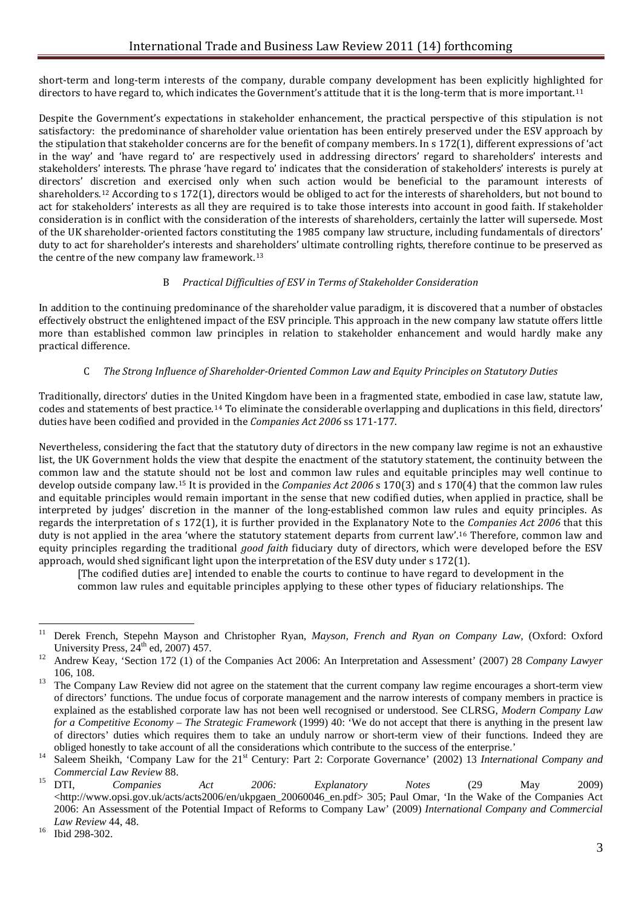short-term and long-term interests of the company, durable company development has been explicitly highlighted for directors to have regard to, which indicates the Government's attitude that it is the long-term that is more important.<sup>[11](#page-3-0)</sup>

Despite the Government's expectations in stakeholder enhancement, the practical perspective of this stipulation is not satisfactory: the predominance of shareholder value orientation has been entirely preserved under the ESV approach by the stipulation that stakeholder concerns are for the benefit of company members. In s 172(1), different expressions of 'act in the way' and 'have regard to' are respectively used in addressing directors' regard to shareholders' interests and stakeholders' interests. The phrase 'have regard to' indicates that the consideration of stakeholders' interests is purely at directors' di[scr](#page-3-1)etion and exercised only when such action would be beneficial to the paramount interests of shareholders*.* <sup>12</sup> According to s 172(1), directors would be obliged to act for the interests of shareholders, but not bound to act for stakeholders' interests as all they are required is to take those interests into account in good faith. If stakeholder consideration is in conflict with the consideration of the interests of shareholders, certainly the latter will supersede. Most of the UK shareholder-oriented factors constituting the 1985 company law structure, including fundamentals of directors' duty to act for shareholder's interests and shareholders' ultimate controlling rights, therefore continue to be preserved as the centre of the new company law framework.[13](#page-3-2)

# B *Practical Difficulties of ESV in Terms of Stakeholder Consideration*

In addition to the continuing predominance of the shareholder value paradigm, it is discovered that a number of obstacles effectively obstruct the enlightened impact of the ESV principle. This approach in the new company law statute offers little more than established common law principles in relation to stakeholder enhancement and would hardly make any practical difference.

# C *The Strong Influence of Shareholder-Oriented Common Law and Equity Principles on Statutory Duties*

Traditionally, directors' duties in the United Kingdom have been in a fragmented state, embodied in case law, statute law, codes and statements of best practice.[14](#page-3-3) To eliminate the considerable overlapping and duplications in this field, directors' duties have been codified and provided in the *Companies Act 2006* ss 171-177.

Nevertheless, considering the fact that the statutory duty of directors in the new company law regime is not an exhaustive list, the UK Government holds the view that despite the enactment of the statutory statement, the continuity between the common law and the statute should not be lost and common law rules and equitable principles may well continue to develop outside company law.[15](#page-3-4) It is provided in the *Companies Act 2006* s 170(3) and s 170(4) that the common law rules and equitable principles would remain important in the sense that new codified duties, when applied in practice, shall be interpreted by judges' discretion in the manner of the long-established common law rules and equity principles. As regards the interpretation of s 172(1), it is further provided in the Explanatory Note to the *Companies Act 2006* that this duty is not applied in the area 'where the statutory statement departs from current law'.[16](#page-3-5) Therefore, common law and equity principles regarding the traditional *good faith* fiduciary duty of directors, which were developed before the ESV approach, would shed significant light upon the interpretation of the ESV duty under s 172(1).

[The codified duties are] intended to enable the courts to continue to have regard to development in the common law rules and equitable principles applying to these other types of fiduciary relationships. The

<span id="page-3-0"></span><sup>&</sup>lt;sup>11</sup> Derek French, Stepehn Mayson and Christopher Ryan, *Mayson, French and Ryan on Company Law*, (Oxford: Oxford University Press, 24<sup>th</sup> ed, 2007) 457.<br><sup>12</sup> Andrew Keay, 'Section 172 (1) of the Companies Act 2006: An Interpretation and Assessment' (2007) 28 *Company Lawyer* 

<span id="page-3-1"></span><sup>106, 108.&</sup>lt;br><sup>13</sup> The Company Law Review did not agree on the statement that the current company law regime encourages a short-term view

<span id="page-3-2"></span>of directors' functions. The undue focus of corporate management and the narrow interests of company members in practice is explained as the established corporate law has not been well recognised or understood. See CLRSG, *Modern Company Law for a Competitive Economy – The Strategic Framework* (1999) 40: 'We do not accept that there is anything in the present law of directors' duties which requires them to take an unduly narrow or short-term view of their functions. Indeed they are

<span id="page-3-3"></span>obliged honestly to take account of all the considerations which contribute to the success of the enterprise.'<br>
<sup>14</sup> Saleem Sheikh, 'Company Law for the 21<sup>st</sup> Century: Part 2: Corporate Governance' (2002) 13 *Internationa* 

<span id="page-3-4"></span>*Commercial Law Review* 88. <sup>15</sup> DTI, *Companies Act 2006: Explanatory Notes* (29 May 2009) <http://www.opsi.gov.uk/acts/acts2006/en/ukpgaen\_20060046\_en.pdf> 305; Paul Omar, 'In the Wake of the Companies Act 2006: An Assessment of the Potential Impact of Reforms to Company Law' (2009) *International Company and Commercial Law Review* 44, 48.<br><sup>16</sup> Ibid 298-302.

<span id="page-3-5"></span>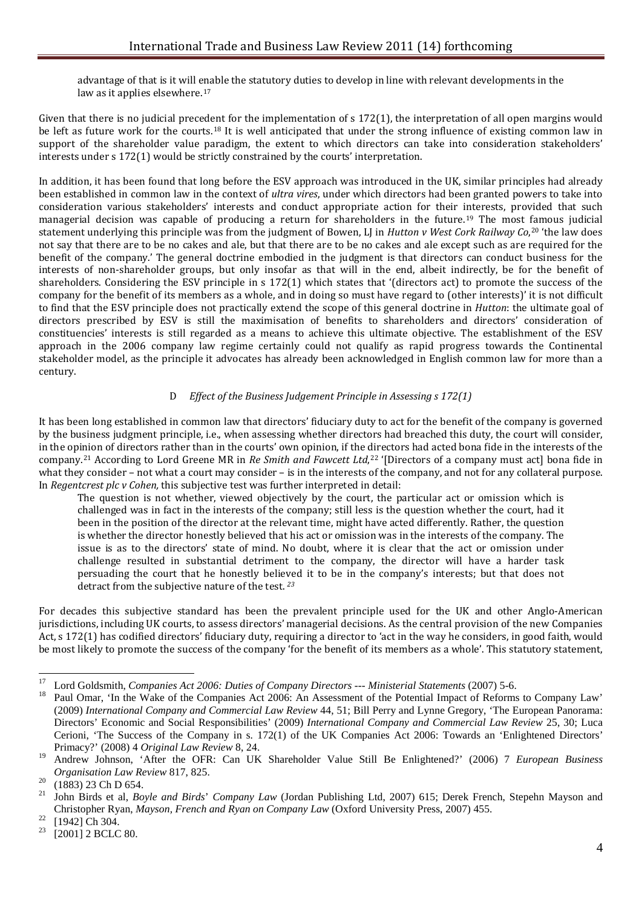advantage of that is it will enable the statutory duties to develop in line with relevant developments in the law as it applies elsewhere.<sup>[17](#page-4-0)</sup>

Given that there is no judicial precedent for the implementation of s 172(1), the interpretation of all open margins would be left as future work for the courts.[18](#page-4-1) It is well anticipated that under the strong influence of existing common law in support of the shareholder value paradigm, the extent to which directors can take into consideration stakeholders' interests under s 172(1) would be strictly constrained by the courts' interpretation.

In addition, it has been found that long before the ESV approach was introduced in the UK, similar principles had already been established in common law in the context of *ultra vires*, under which directors had been granted powers to take into consideration various stakeholders' interests and conduct appropriate action for their interests, provided that such managerial decision was capable of producing a return for shareholders in the future.[19](#page-4-2) The most famous judicial statement underlying this principle was from the judgment of Bowen, LJ in *Hutton v West Cork Railway Co*,[20](#page-4-3) 'the law does not say that there are to be no cakes and ale, but that there are to be no cakes and ale except such as are required for the benefit of the company.' The general doctrine embodied in the judgment is that directors can conduct business for the interests of non-shareholder groups, but only insofar as that will in the end, albeit indirectly, be for the benefit of shareholders. Considering the ESV principle in s 172(1) which states that '(directors act) to promote the success of the company for the benefit of its members as a whole, and in doing so must have regard to (other interests)' it is not difficult to find that the ESV principle does not practically extend the scope of this general doctrine in *Hutton*: the ultimate goal of directors prescribed by ESV is still the maximisation of benefits to shareholders and directors' consideration of constituencies' interests is still regarded as a means to achieve this ultimate objective. The establishment of the ESV approach in the 2006 company law regime certainly could not qualify as rapid progress towards the Continental stakeholder model, as the principle it advocates has already been acknowledged in English common law for more than a century.

# D *Effect of the Business Judgement Principle in Assessing s 172(1)*

It has been long established in common law that directors' fiduciary duty to act for the benefit of the company is governed by the business judgment principle, i.e., when assessing whether directors had breached this duty, the court will consider, in the opinion of directors rather than in the courts' own opinion, if the directors had acted bona fide in the interests of the company.[21](#page-4-4) According to Lord Greene MR in *Re Smith and Fawcett Ltd*,[22](#page-4-5) '[Directors of a company must act] bona fide in what they consider – not what a court may consider – is in the interests of the company, and not for any collateral purpose. In *Regentcrest plc v Cohen,* this subjective test was further interpreted in detail:

The question is not whether, viewed objectively by the court, the particular act or omission which is challenged was in fact in the interests of the company; still less is the question whether the court, had it been in the position of the director at the relevant time, might have acted differently. Rather, the question is whether the director honestly believed that his act or omission was in the interests of the company. The issue is as to the directors' state of mind. No doubt, where it is clear that the act or omission under challenge resulted in substantial detriment to the company, the director will have a harder task persuading the court that he honestly believed it to be in the company's interests; but that does not detract from the subjective nature of the test. *[23](#page-4-6)*

For decades this subjective standard has been the prevalent principle used for the UK and other Anglo-American jurisdictions, including UK courts, to assess directors' managerial decisions. As the central provision of the new Companies Act, s 172(1) has codified directors' fiduciary duty, requiring a director to 'act in the way he considers, in good faith, would be most likely to promote the success of the company 'for the benefit of its members as a whole'. This statutory statement,

<span id="page-4-0"></span> $17$ <sup>17</sup> Lord Goldsmith, *Companies Act 2006: Duties of Company Directors --- Ministerial Statements* (2007) 5-6.<br><sup>18</sup> Paul Omar, 'In the Wake of the Companies Act 2006: An Assessment of the Potential Impact of Reforms to Com

<span id="page-4-1"></span><sup>(2009)</sup> *International Company and Commercial Law Review* 44, 51; Bill Perry and Lynne Gregory, 'The European Panorama: Directors' Economic and Social Responsibilities' (2009) *International Company and Commercial Law Review* 25, 30; Luca Cerioni, 'The Success of the Company in s. 172(1) of the UK Companies Act 2006: Towards an 'Enlightened Directors' Primacy?' (2008) 4 *Original Law Review* 8, 24.

<span id="page-4-2"></span><sup>19</sup> Andrew Johnson, 'After the OFR: Can UK Shareholder Value Still Be Enlightened?' (2006) 7 *European Business* 

<span id="page-4-4"></span><span id="page-4-3"></span>*Organisation Law Review* 817, 825. <sup>20</sup> (1883) 23 Ch D 654. <sup>21</sup> John Birds et al, *Boyle and Birds*' *Company Law* (Jordan Publishing Ltd, 2007) 615; Derek French, Stepehn Mayson and Christopher Ryan, *Mayson, French and Ryan on Company Law* (Oxford University Press, 2007) 455. <sup>22</sup> [1942] Ch 304. <sup>23</sup> [2001] 2 BCLC 80.

<span id="page-4-5"></span>

<span id="page-4-6"></span>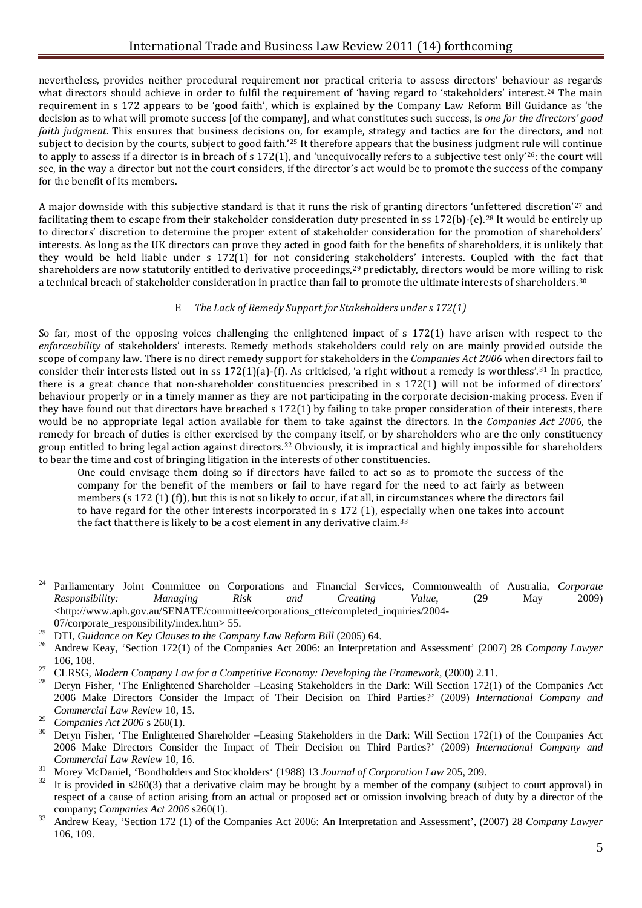nevertheless, provides neither procedural requirement nor practical criteria to assess directors' behaviour as regards what directors should achieve in order to fulfil the requirement of 'having regard to 'stakeholders' interest.<sup>[24](#page-5-0)</sup> The main requirement in s 172 appears to be 'good faith', which is explained by the Company Law Reform Bill Guidance as 'the decision as to what will promote success [of the company], and what constitutes such success, is *one for the directors' good faith judgment*. This ensures that business decisions on, for example, strategy and tactics are for the directors, and not subject to decision by the courts, subject to good faith*.*'[25](#page-5-1) It therefore appears that the business judgment rule will continue to apply to assess if a director is in breach of s 172(1), and 'unequivocally refers to a subjective test only'[26](#page-5-2): the court will see, in the way a director but not the court considers, if the director's act would be to promote the success of the company for the benefit of its members.

A major downside with this subjective standard is that it runs the risk of granting directors 'un[fe](#page-5-4)ttered discretion'[27](#page-5-3) and facilitating them to escape from their stakeholder consideration duty presented in ss 172(b)-(e).<sup>28</sup> It would be entirely up to directors' discretion to determine the proper extent of stakeholder consideration for the promotion of shareholders' interests. As long as the UK directors can prove they acted in good faith for the benefits of shareholders, it is unlikely that they would be held liable under s 172(1) for not considering stakeholders' interests. Coupled with the fact that shareholders are now statutorily entitled to derivative proceedings,[29](#page-5-5) predictably, directors would be more willing t[o r](#page-5-6)isk a technical breach of stakeholder consideration in practice than fail to promote the ultimate interests of shareholders.30

# E *The Lack of Remedy Support for Stakeholders under s 172(1)*

So far, most of the opposing voices challenging the enlightened impact of s 172(1) have arisen with respect to the *enforceability* of stakeholders' interests. Remedy methods stakeholders could rely on are mainly provided outside the scope of company law. There is no direct remedy support for stakeholders in the *Companies Act 2006* when directors fail to consider their interests listed out in ss 172(1)(a)-(f). As criticised, 'a right without a remedy is worthless'.[31](#page-5-7) In practice, there is a great chance that non-shareholder constituencies prescribed in s 172(1) will not be informed of directors' behaviour properly or in a timely manner as they are not participating in the corporate decision-making process. Even if they have found out that directors have breached s 172(1) by failing to take proper consideration of their interests, there would be no appropriate legal action available for them to take against the directors. In the *Companies Act 2006*, the remedy for breach of duties is either exercised by the company itself, or by shareholders who are the only constituency group entitled to bring legal action against directors.<sup>[32](#page-5-8)</sup> Obviously, it is impractical and highly impossible for shareholders to bear the time and cost of bringing litigation in the interests of other constituencies.

One could envisage them doing so if directors have failed to act so as to promote the success of the company for the benefit of the members or fail to have regard for the need to act fairly as between members (s 172 (1) (f)), but this is not so likely to occur, if at all, in circumstances where the directors fail to have regard for the other interests incorporated in s 172 (1), esp[eci](#page-5-9)ally when one takes into account the fact that there is likely to be a cost element in any derivative claim.<sup>33</sup>

<span id="page-5-0"></span> $24$ <sup>24</sup> Parliamentary Joint Committee on Corporations and Financial Services, Commonwealth of Australia, *Corporate Responsibility: Managing Risk and Creating Value*, (29 May 2009) <http://www.aph.gov.au/SENATE/committee/corporations\_ctte/completed\_inquiries/2004-

<span id="page-5-2"></span><span id="page-5-1"></span><sup>&</sup>lt;sup>25</sup> DTI, Guidance on Key Clauses to the Company Law Reform Bill (2005) 64.<br><sup>26</sup> Andrew Keay, 'Section 172(1) of the Companies Act 2006: an Interpretation and Assessment' (2007) 28 Company Lawyer<br>106.108.

<span id="page-5-4"></span><span id="page-5-3"></span><sup>&</sup>lt;sup>27</sup> CLRSG, Modern Company Law for a Competitive Economy: Developing the Framework, (2000) 2.11.<br><sup>28</sup> Deryn Fisher, 'The Enlightened Shareholder –Leasing Stakeholders in the Dark: Will Section 172(1) of the Companies Act 2006 Make Directors Consider the Impact of Their Decision on Third Parties?' (2009) *International Company and Commercial Law Review* 10, 15.

<span id="page-5-6"></span><span id="page-5-5"></span><sup>&</sup>lt;sup>29</sup> *Companies Act* 2006 s 260(1).<br><sup>30</sup> Deryn Fisher, 'The Enlightened Shareholder –Leasing Stakeholders in the Dark: Will Section 172(1) of the Companies Act 2006 Make Directors Consider the Impact of Their Decision on Third Parties?' (2009) *International Company and*  Commercial Law Review 10, 16.<br>
<sup>31</sup> Morey McDaniel, 'Bondholders and Stockholders' (1988) 13 Journal of Corporation Law 205, 209.<br>
<sup>32</sup> It is provided in s260(3) that a derivative claim may be brought by a member of the co

<span id="page-5-7"></span>

<span id="page-5-8"></span>respect of a cause of action arising from an actual or proposed act or omission involving breach of duty by a director of the company: *Companies Act* 2006 s260(1).

<span id="page-5-9"></span><sup>&</sup>lt;sup>33</sup> Andrew Keay, 'Section 172 (1) of the Companies Act 2006: An Interpretation and Assessment', (2007) 28 *Company Lawyer* 106, 109.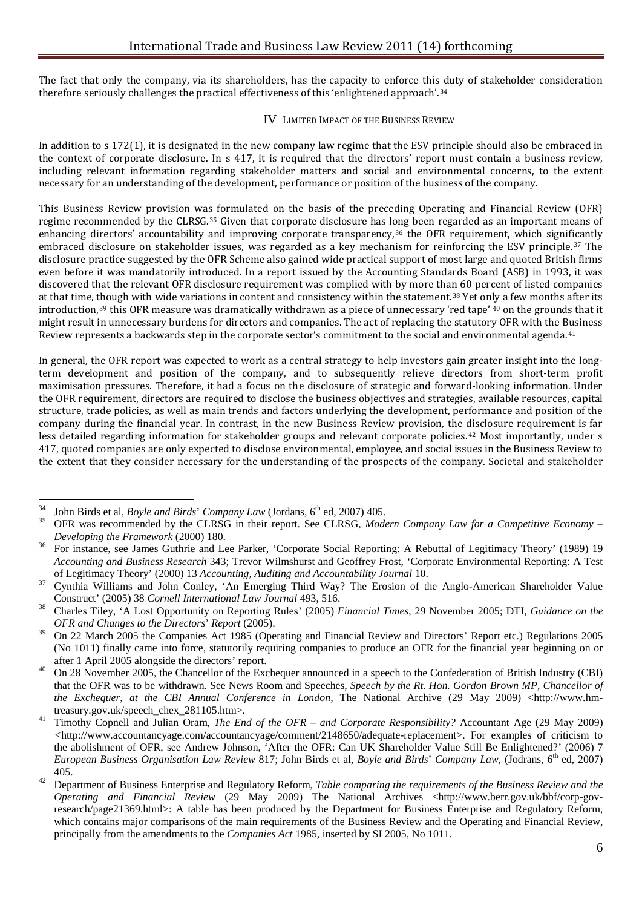The fact that only the company, via its shareholders, has the capacity to enforce this duty of stakeholder consideration therefore seriously challenges the practical effectiveness of this 'enlightened approach'.[34](#page-6-0)

# IV LIMITED IMPACT OF THE BUSINESS REVIEW

In addition to s 172(1), it is designated in the new company law regime that the ESV principle should also be embraced in the context of corporate disclosure. In s 417, it is required that the directors' report must contain a business review, including relevant information regarding stakeholder matters and social and environmental concerns, to the extent necessary for an understanding of the development, performance or position of the business of the company.

This Business Review provision was formulated on the basis of the preceding Operating and Financial Review (OFR) regime recommended by the CLRSG.[35](#page-6-1) Given that corporate disclosure has long been regarded as an important means of enhancing directors' accountability and improving corporate transparency,<sup>[36](#page-6-2)</sup> the OFR requirement, which significantly embraced disclosure on stakeholder issues, was regarded as a key mechanism for reinforcing the ESV principle.[37](#page-6-3) The disclosure practice suggested by the OFR Scheme also gained wide practical support of most large and quoted British firms even before it was mandatorily introduced. In a report issued by the Accounting Standards Board (ASB) in 1993, it was discovered that the relevant OFR disclosure requirement was complied with by more than 60 percent of listed companies at that time, [tho](#page-6-5)ugh with wide variations in content and consistency within the statement.[38](#page-6-4) Yet on[ly](#page-6-6) a few months after its introduction,39 this OFR measure was dramatically withdrawn as a piece of unnecessary 'red tape' <sup>40</sup> on the grounds that it might result in unnecessary burdens for directors and companies. The act of replacing the statutory OFR with the Business Review represents a backwards step in the corporate sector's commitment to the social and environmental agenda.<sup>[41](#page-6-7)</sup>

In general, the OFR report was expected to work as a central strategy to help investors gain greater insight into the longterm development and position of the company, and to subsequently relieve directors from short-term profit maximisation pressures. Therefore, it had a focus on the disclosure of strategic and forward-looking information. Under the OFR requirement, directors are required to disclose the business objectives and strategies, available resources, capital structure, trade policies, as well as main trends and factors underlying the development, performance and position of the company during the financial year. In contrast, in the new Business Review provision, the disclosure requirement is far less detailed regarding information for stakeholder groups and relevant corporate policies.<sup>[42](#page-6-8)</sup> Most importantly, under s 417, quoted companies are only expected to disclose environmental, employee, and social issues in the Business Review to the extent that they consider necessary for the understanding of the prospects of the company. Societal and stakeholder

<span id="page-6-0"></span><sup>34</sup> <sup>34</sup> John Birds et al, *Boyle and Birds*' *Company Law* (Jordans,  $6^{th}$  ed, 2007) 405.

<span id="page-6-1"></span><sup>35</sup> OFR was recommended by the CLRSG in their report. See CLRSG, *Modern Company Law for a Competitive Economy – Developing the Framework* (2000) 180.<br><sup>36</sup> For instance, see James Guthrie and Lee Parker, 'Corporate Social Reporting: A Rebuttal of Legitimacy Theory' (1989) 19

<span id="page-6-2"></span>*Accounting and Business Research* 343; Trevor Wilmshurst and Geoffrey Frost, 'Corporate Environmental Reporting: A Test

<span id="page-6-3"></span><sup>&</sup>lt;sup>37</sup> Cynthia Williams and John Conley, 'An Emerging Third Way? The Erosion of the Anglo-American Shareholder Value Construct' (2005) 38 *Cornell International Law Journal* 493, 516. <sup>38</sup> Charles Tiley, 'A Lost Opportunity on Reporting Rules' (2005) *Financial Times*, 29 November 2005; DTI, *Guidance on the* 

<span id="page-6-4"></span>*OFR and Changes to the Directors*' *Report* (2005).

<span id="page-6-5"></span><sup>&</sup>lt;sup>39</sup> On 22 March 2005 the Companies Act 1985 (Operating and Financial Review and Directors' Report etc.) Regulations 2005 (No 1011) finally came into force, statutorily requiring companies to produce an OFR for the financial year beginning on or after 1 April 2005 alongside the directors' report.

<span id="page-6-6"></span><sup>&</sup>lt;sup>40</sup> On 28 November 2005, the Chancellor of the Exchequer announced in a speech to the Confederation of British Industry (CBI) that the OFR was to be withdrawn. See News Room and Speeches, *Speech by the Rt. Hon. Gordon Brown MP, Chancellor of the Exchequer, at the CBI Annual Conference in London, The National Archive (29 May 2009)* <http://www.hm-

<span id="page-6-7"></span>treasury.gov.uk/speech\_chex\_281105.htm>. <sup>41</sup> Timothy Copnell and Julian Oram, *The End of the OFR – and Corporate Responsibility?* Accountant Age (29 May 2009) *<*http://www.accountancyage.com/accountancyage/comment/2148650/adequate-replacement>. For examples of criticism to the abolishment of OFR, see Andrew Johnson, 'After the OFR: Can UK Shareholder Value Still Be Enlightened?' (2006) 7 *European Business Organisation Law Review 817; John Birds et al, <i>Boyle and Birds*' *Company Law*, (Jodrans, 6<sup>th</sup> ed, 2007) 405.

<span id="page-6-8"></span><sup>&</sup>lt;sup>42</sup> Department of Business Enterprise and Regulatory Reform, *Table comparing the requirements of the Business Review and the Operating and Financial Review* (29 May 2009) The National Archives <http://www.berr.gov.uk/bbf/corp-govresearch/page21369.html>: A table has been produced by the Department for Business Enterprise and Regulatory Reform, which contains major comparisons of the main requirements of the Business Review and the Operating and Financial Review, principally from the amendments to the *Companies Act* 1985, inserted by SI 2005, No 1011.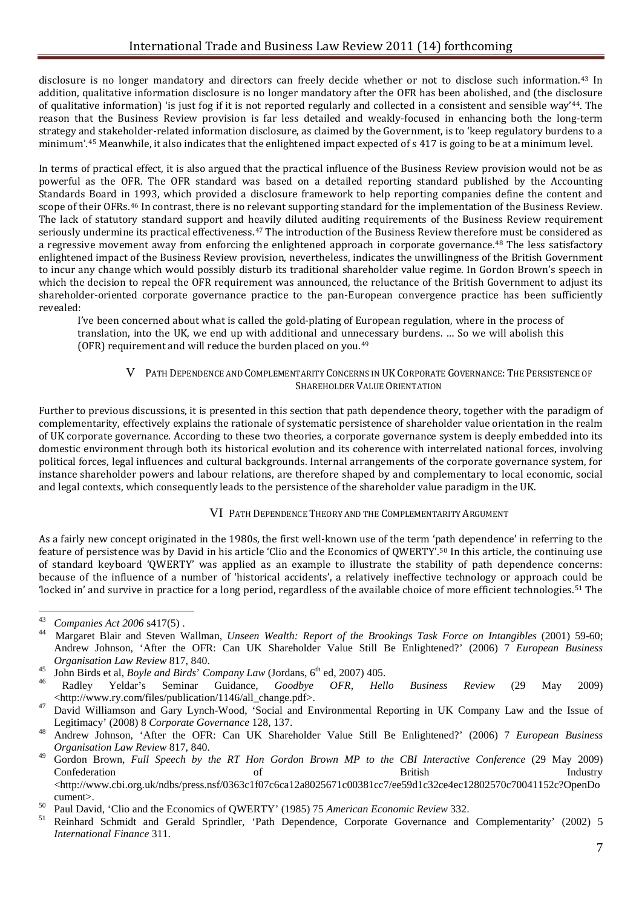disclosure is no longer mandatory and directors can freely decide whether or not to disclose such information.[43](#page-7-0) In addition, qualitative information disclosure is no longer mandatory after the OFR has been abolished, and (the disclosure of qualitative information) 'is just fog if it is not reported regularly and collected in a consistent and sensible way'[44](#page-7-1). The reason that the Business Review provision is far less detailed and weakly-focused in enhancing both the long-term strategy and stakeholder-related information disclosure, as claimed by the Government, is to 'keep regulatory burdens to a minimum'.[45](#page-7-2) Meanwhile, it also indicates that the enlightened impact expected of s 417 is going to be at a minimum level.

In terms of practical effect, it is also argued that the practical influence of the Business Review provision would not be as powerful as the OFR. The OFR standard was based on a detailed reporting standard published by the Accounting Standards Board in 1993, which provided a disclosure framework to help reporting companies define the content and scope of their OFRs.[46](#page-7-3) In contrast, there is no relevant supporting standard for the implementation of the Business Review. The lack of statutory standard support and heavily diluted auditing requirements of the Business Review requirement seriously undermine its practical effectiveness.[47](#page-7-4) The introduction of the Business Review therefore must be considered as a regressive movement away from enforcing the enlightened approach in corporate governance.<sup>[48](#page-7-5)</sup> The less satisfactory enlightened impact of the Business Review provision, nevertheless, indicates the unwillingness of the British Government to incur any change which would possibly disturb its traditional shareholder value regime. In Gordon Brown's speech in which the decision to repeal the OFR requirement was announced, the reluctance of the British Government to adjust its shareholder-oriented corporate governance practice to the pan-European convergence practice has been sufficiently revealed:

I've been concerned about what is called the gold-plating of European regulation, where in the process of translation, into the UK, we end up with additional and unn[ec](#page-7-6)essary burdens. … So we will abolish this (OFR) requirement and will reduce the burden placed on you. 49

#### V PATH DEPENDENCE AND COMPLEMENTARITY CONCERNS IN UK CORPORATE GOVERNANCE: THE PERSISTENCE OF SHAREHOLDER VALUE ORIENTATION

Further to previous discussions, it is presented in this section that path dependence theory, together with the paradigm of complementarity, effectively explains the rationale of systematic persistence of shareholder value orientation in the realm of UK corporate governance. According to these two theories, a corporate governance system is deeply embedded into its domestic environment through both its historical evolution and its coherence with interrelated national forces, involving political forces, legal influences and cultural backgrounds. Internal arrangements of the corporate governance system, for instance shareholder powers and labour relations, are therefore shaped by and complementary to local economic, social and legal contexts, which consequently leads to the persistence of the shareholder value paradigm in the UK.

# VI PATH DEPENDENCE THEORY AND THE COMPLEMENTARITY ARGUMENT

As a fairly new concept originated in the 1980s, the first well-known use of the term 'path dependence' in referring to the feature of persistence was by David in his article 'Clio and the Economics of QWERTY'.[50](#page-7-7) In this article, the continuing use of standard keyboard 'QWERTY' was applied as an example to illustrate the stability of path dependence concerns: because of the influence of a number of 'historical accidents', a relatively ineffective technology or approach could be 'locked in' and survive in practice for a long period, regardless of the available choice of more efficient technologies.[51](#page-7-8) The

<span id="page-7-0"></span> $43$  $^{43}$  *Companies Act* 2006 s417(5).

<span id="page-7-1"></span><sup>44</sup> Margaret Blair and Steven Wallman, *Unseen Wealth: Report of the Brookings Task Force on Intangibles* (2001) 59-60; Andrew Johnson, 'After the OFR: Can UK Shareholder Value Still Be Enlightened?' (2006) 7 *European Business* 

<span id="page-7-3"></span><span id="page-7-2"></span>

Organisation Law Review 817, 840.<br>
<sup>45</sup> John Birds et al, *Boyle and Birds' Company Law* (Jordans, 6<sup>th</sup> ed, 2007) 405.<br>
<sup>46</sup> Radley Yeldar's Seminar Guidance, *Goodbye OFR*, *Hello Business Review* (29 May 2009)<br>
<http://

<span id="page-7-4"></span><sup>&</sup>lt;sup>47</sup> David Williamson and Gary Lynch-Wood, 'Social and Environmental Reporting in UK Company Law and the Issue of Legitimacy' (2008) 8 *Corporate Governance* 128, 137. <sup>48</sup> Andrew Johnson, 'After the OFR: Can UK Shareholder Value Still Be Enlightened?' (2006) 7 *European Business* 

<span id="page-7-5"></span>*Organisation Law Review* 817, 840.

<span id="page-7-6"></span><sup>49</sup> Gordon Brown, *Full Speech by the RT Hon Gordon Brown MP to the CBI Interactive Conference* (29 May 2009) Confederation of Series of British Industry  $\langle$ http://www.cbi.org.uk/ndbs/press.nsf/0363c1f07c6ca12a8025671c00381cc7/ee59d1c32ce4ec12802570c70041152c?OpenDo

<span id="page-7-8"></span><span id="page-7-7"></span>

cument>.<br><sup>50</sup> Paul David, 'Clio and the Economics of QWERTY' (1985) 75 *American Economic Review* 332.<br><sup>51</sup> Reinhard Schmidt and Gerald Sprindler, 'Path Dependence, Corporate Governance and Complementarity' (2002) 5 *International Finance* 311.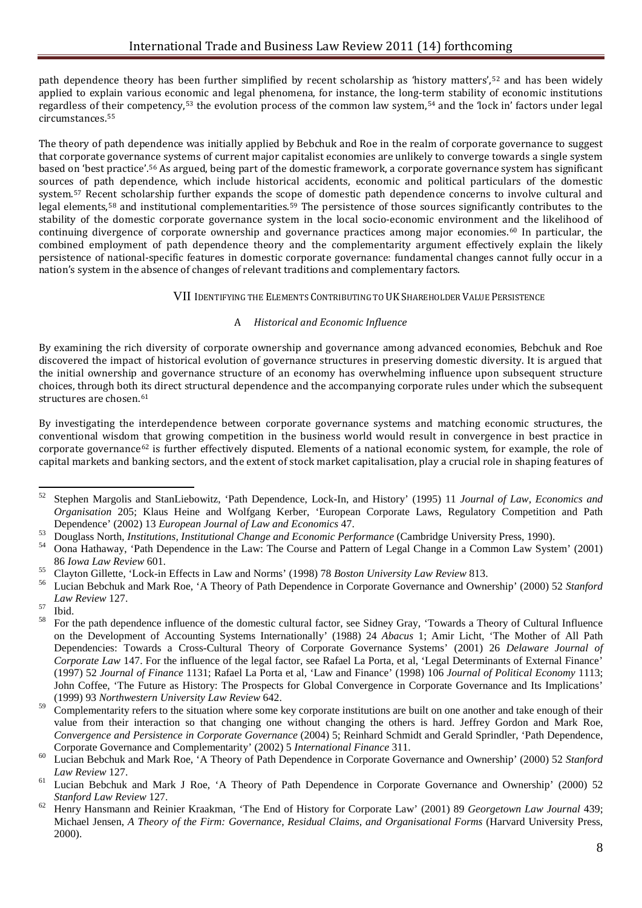path dependence theory has been further simplified by recent scholarship as 'history matters',[52](#page-8-0) and has been widely applied to explain various economic and legal phenomena, for instance, the long-term stability of economic institutions regardless of t[he](#page-8-3)ir competency,[53](#page-8-1) the evolution process of the common law system,[54](#page-8-2) and the 'lock in' factors under legal circumstances.55

The theory of path dependence was initially applied by Bebchuk and Roe in the realm of corporate governance to suggest that corporate governance systems of current major capitalist economies are unlikely to converge towards a single system based on 'best practice'.[56](#page-8-4) As argued, being part of the domestic framework, a corporate governance system has significant sources of path dependence, which include historical accidents, economic and political particulars of the domestic system.[57](#page-8-5) Recent scholarship further expands the scope of domestic path dependence concerns to involve cultural and legal elements,[58](#page-8-6) and institutional complementarities.[59](#page-8-7) The persistence of those sources significantly contributes to the stability of the domestic corporate governance system in the local socio-economic environment and the likelihood of continuing divergence of corporate ownership and governance practices among major economies.[60](#page-8-8) In particular, the combined employment of path dependence theory and the complementarity argument effectively explain the likely persistence of national-specific features in domestic corporate governance: fundamental changes cannot fully occur in a nation's system in the absence of changes of relevant traditions and complementary factors.

# VII IDENTIFYING THE ELEMENTS CONTRIBUTING TO UK SHAREHOLDER VALUE PERSISTENCE

# A *Historical and Economic Influence*

By examining the rich diversity of corporate ownership and governance among advanced economies, Bebchuk and Roe discovered the impact of historical evolution of governance structures in preserving domestic diversity. It is argued that the initial ownership and governance structure of an economy has overwhelming influence upon subsequent structure choices, through both its direct structural dependence and the accompanying corporate rules under which the subsequent structures are chosen.[61](#page-8-9)

By investigating the interdependence between corporate governance systems and matching economic structures, the conventional wisdom that growing competition in the business world would result in convergence in best practice in corporate governance<sup>[62](#page-8-10)</sup> is further effectively disputed. Elements of a national economic system, for example, the role of capital markets and banking sectors, and the extent of stock market capitalisation, play a crucial role in shaping features of

<span id="page-8-0"></span><sup>52</sup> Stephen Margolis and StanLiebowitz, 'Path Dependence, Lock-In, and History' (1995) 11 *Journal of Law, Economics and Organisation* 205; Klaus Heine and Wolfgang Kerber, 'European Corporate Laws, Regulatory Competition and Path Dependence' (2002) 13 *European Journal of Law and Economics* 47.

<span id="page-8-1"></span><sup>&</sup>lt;sup>53</sup> Douglass North, *Institutions*, *Institutional Change and Economic Performance* (Cambridge University Press, 1990).<br><sup>54</sup> Oona Hathaway, 'Path Dependence in the Law: The Course and Pattern of Legal Change in a Common L

<span id="page-8-2"></span><sup>86</sup> Iowa Law Review 601.<br><sup>55</sup> Clayton Gillette, 'Lock-in Effects in Law and Norms' (1998) 78 Boston University Law Review 813.<br><sup>56</sup> Lucian Bebchuk and Mark Roe, 'A Theory of Path Dependence in Corporate Governance and Owner

<span id="page-8-3"></span>

<span id="page-8-4"></span>

<span id="page-8-6"></span><span id="page-8-5"></span>

*Law Review* 127.<br><sup>57</sup> Ibid.<br><sup>58</sup> For the path dependence influence of the domestic cultural factor, see Sidney Gray, 'Towards a Theory of Cultural Influence on the Development of Accounting Systems Internationally' (1988) 24 *Abacus* 1; Amir Licht, 'The Mother of All Path Dependencies: Towards a Cross-Cultural Theory of Corporate Governance Systems' (2001) 26 *Delaware Journal of Corporate Law* 147. For the influence of the legal factor, see Rafael La Porta, et al, 'Legal Determinants of External Finance' (1997) 52 *Journal of Finance* 1131; Rafael La Porta et al, 'Law and Finance' (1998) 106 *Journal of Political Economy* 1113; John Coffee, 'The Future as History: The Prospects for Global Convergence in Corporate Governance and Its Implications' (1999) 93 *Northwestern University Law Review* 642.

<span id="page-8-7"></span> $59$  Complementarity refers to the situation where some key corporate institutions are built on one another and take enough of their value from their interaction so that changing one without changing the others is hard. Jeffrey Gordon and Mark Roe, *Convergence and Persistence in Corporate Governance* (2004) 5; Reinhard Schmidt and Gerald Sprindler, 'Path Dependence,

<span id="page-8-8"></span>Corporate Governance and Complementarity' (2002) 5 *International Finance* 311.<br>Lucian Bebchuk and Mark Roe, 'A Theory of Path Dependence in Corporate Governance and Ownership' (2000) 52 *Stanford*<br>Law Review 127.

<span id="page-8-9"></span><sup>&</sup>lt;sup>61</sup> Lucian Bebchuk and Mark J Roe, 'A Theory of Path Dependence in Corporate Governance and Ownership' (2000) 52 *Stanford Law Review* 127. <sup>62</sup> Henry Hansmann and Reinier Kraakman, 'The End of History for Corporate Law' (2001) 89 *Georgetown Law Journal* 439;

<span id="page-8-10"></span>Michael Jensen, *A Theory of the Firm: Governance, Residual Claims, and Organisational Forms* (Harvard University Press, 2000).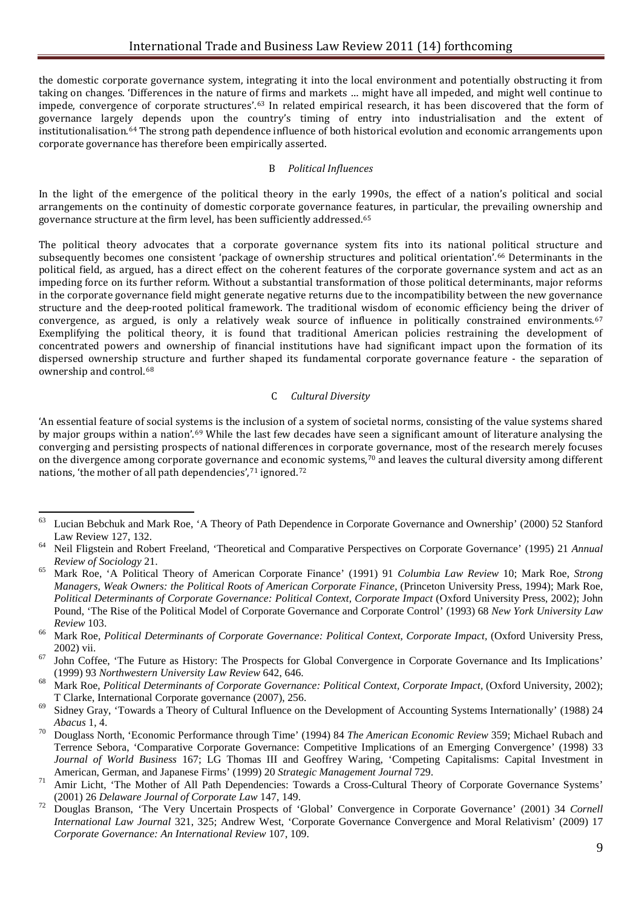the domestic corporate governance system, integrating it into the local environment and potentially obstructing it from taking on changes. 'Differences in the nature of firms and markets … might have all impeded, and might well continue to impede, convergence of corporate structures'.[63](#page-9-0) In related empirical research, it has been discovered that the form of governance largely depends upon the country's timing of entry into industrialisation and the extent of institutionalisation.[64](#page-9-1) The strong path dependence influence of both historical evolution and economic arrangements upon corporate governance has therefore been empirically asserted.

#### B *Political Influences*

In the light of the emergence of the political theory in the early 1990s, the effect of a nation's political and social arrangements on the continuity of domestic corporate governance features, in particular, the prevailing ownership and governance structure at the firm level, has been sufficiently addressed.[65](#page-9-2)

The political theory advocates that a corporate governance system fits into its national political structure and subsequently becomes one consistent 'package of ownership structures and political orientation'.<sup>[66](#page-9-3)</sup> Determinants in the political field, as argued, has a direct effect on the coherent features of the corporate governance system and act as an impeding force on its further reform. Without a substantial transformation of those political determinants, major reforms in the corporate governance field might generate negative returns due to the incompatibility between the new governance structure and the deep-rooted political framework. The traditional wisdom of economic efficiency being the driver of convergence, as argued, is only a relatively weak source of influence in politically constrained environments.<sup>[67](#page-9-4)</sup> Exemplifying the political theory, it is found that traditional American policies restraining the development of concentrated powers and ownership of financial institutions have had significant impact upon the formation of its dispersed ownership structure and further shaped its fundamental corporate governance feature - the separation of ownership and control.[68](#page-9-5)

#### C *Cultural Diversity*

'An essential feature of social systems is the inclusion of a system of societal norms, consisting of the value systems shared by major groups within a nation'.[69](#page-9-6) While the last few decades have seen a significant amount of literature analysing the converging and persisting prospects of national differences in corporate governance, most of the research merely focuses on the divergen[ce](#page-9-8) among corporate governance and eco[no](#page-9-9)mic systems, $70$  and leaves the cultural diversity among different nations, 'the mother of all path dependencies',71 ignored.72

<span id="page-9-0"></span><sup>&</sup>lt;sup>63</sup> Lucian Bebchuk and Mark Roe, 'A Theory of Path Dependence in Corporate Governance and Ownership' (2000) 52 Stanford Law Review 127, 132. <sup>64</sup> Neil Fligstein and Robert Freeland, 'Theoretical and Comparative Perspectives on Corporate Governance' (1995) 21 *Annual* 

<span id="page-9-1"></span>*Review of Sociology* 21. <sup>65</sup> Mark Roe, 'A Political Theory of American Corporate Finance' (1991) 91 *Columbia Law Review* 10; Mark Roe, *Strong* 

<span id="page-9-2"></span>*Managers, Weak Owners: the Political Roots of American Corporate Finance*, (Princeton University Press, 1994); Mark Roe, *Political Determinants of Corporate Governance: Political Context, Corporate Impact* (Oxford University Press, 2002); John Pound, 'The Rise of the Political Model of Corporate Governance and Corporate Control' (1993) 68 *New York University Law Review* 103. <sup>66</sup> Mark Roe, *Political Determinants of Corporate Governance: Political Context, Corporate Impact,* (Oxford University Press,

<span id="page-9-3"></span>

<span id="page-9-4"></span><sup>2002)</sup> vii.<br>
<sup>67</sup> John Coffee, 'The Future as History: The Prospects for Global Convergence in Corporate Governance and Its Implications'<br>
(1999) 93 Northwestern University Law Review 642, 646.

<span id="page-9-5"></span><sup>&</sup>lt;sup>68</sup> Mark Roe, *Political Determinants of Corporate Governance: Political Context, Corporate Impact, (Oxford University, 2002);* T Clarke, International Corporate governance (2007), 256. <sup>69</sup> Sidney Gray, 'Towards a Theory of Cultural Influence on the Development of Accounting Systems Internationally' (1988) 24

<span id="page-9-6"></span>

<span id="page-9-7"></span>*Abacus* 1, 4. 70 Douglass North, 'Economic Performance through Time' (1994) 84 *The American Economic Review* 359; Michael Rubach and Terrence Sebora, 'Comparative Corporate Governance: Competitive Implications of an Emerging Convergence' (1998) 33 *Journal of World Business* 167; LG Thomas III and Geoffrey Waring, 'Competing Capitalisms: Capital Investment in American, German, and Japanese Firms' (1999) 20 Strategic Management Journal 729.

<span id="page-9-8"></span><sup>&</sup>lt;sup>71</sup> Amir Licht, 'The Mother of All Path Dependencies: Towards a Cross-Cultural Theory of Corporate Governance Systems'

<span id="page-9-9"></span><sup>(2001) 26</sup> *Delaware Journal of Corporate Law* 147, 149. <sup>72</sup> Douglas Branson, 'The Very Uncertain Prospects of 'Global' Convergence in Corporate Governance' (2001) 34 *Cornell International Law Journal* 321, 325; Andrew West, 'Corporate Governance Convergence and Moral Relativism' (2009) 17 *Corporate Governance: An International Review* 107, 109.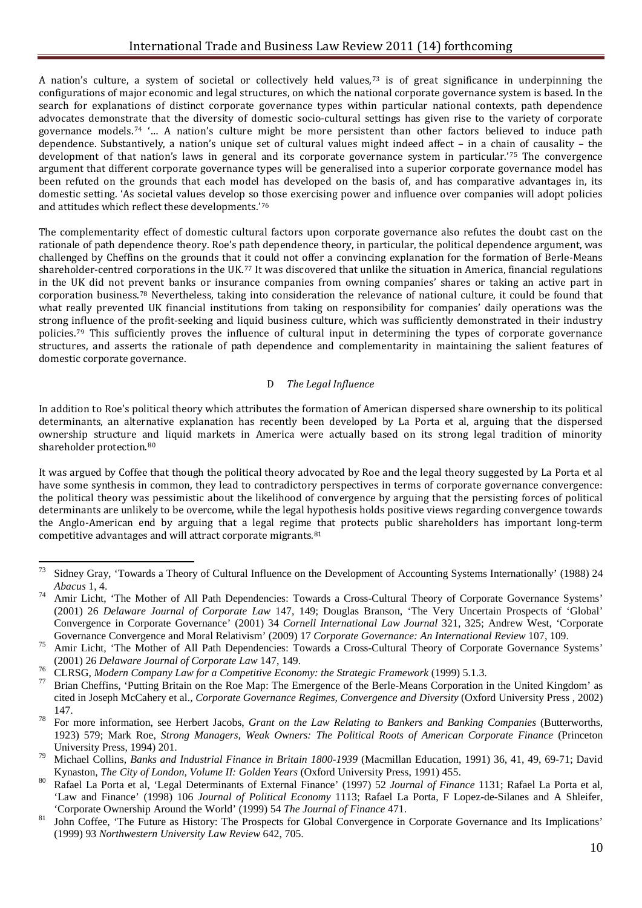A nation's culture, a system of societal or collectively held values,[73](#page-10-0) is of great significance in underpinning the configurations of major economic and legal structures, on which the national corporate governance system is based. In the search for explanations of distinct corporate governance types within particular national contexts, path dependence advocates demonstrate that the diversity of domestic socio-cultural settings has given rise to the variety of corporate governance models.[74](#page-10-1) '… A nation's culture might be more persistent than other factors believed to induce path dependence. Substantively, a nation's unique set of cultural values might indeed affect – in a chain of causality – the development of that nation's laws in general and its corporate governance system in particular.'[75](#page-10-2) The convergence argument that different corporate governance types will be generalised into a superior corporate governance model has been refuted on the grounds that each model has developed on the basis of, and has comparative advantages in, its domestic setting. 'As societal values develop so those exercising power and influence over companies will adopt policies and attitudes which reflect these developments.'[76](#page-10-3)

The complementarity effect of domestic cultural factors upon corporate governance also refutes the doubt cast on the rationale of path dependence theory. Roe's path dependence theory, in particular, the political dependence argument, was challenged by Cheffins on the grounds that it could not offer a convincing explanation for the formation of Berle-Means shareholder-centred corporations in the UK.<sup>[77](#page-10-4)</sup> It was discovered that unlike the situation in America, financial regulations in the UK did not prevent banks or insurance companies from owning companies' shares or taking an active part in corporation business.[78](#page-10-5) Nevertheless, taking into consideration the relevance of national culture, it could be found that what really prevented UK financial institutions from taking on responsibility for companies' daily operations was the strong influence of the profit-seeking and liquid business culture, which was sufficiently demonstrated in their industry policies.[79](#page-10-6) This sufficiently proves the influence of cultural input in determining the types of corporate governance structures, and asserts the rationale of path dependence and complementarity in maintaining the salient features of domestic corporate governance.

# D *The Legal Influence*

In addition to Roe's political theory which attributes the formation of American dispersed share ownership to its political determinants, an alternative explanation has recently been developed by La Porta et al, arguing that the dispersed ownership structure and liquid markets in America were actually based on its strong legal tradition of minority shareholder protection.<sup>[80](#page-10-7)</sup>

It was argued by Coffee that though the political theory advocated by Roe and the legal theory suggested by La Porta et al have some synthesis in common, they lead to contradictory perspectives in terms of corporate governance convergence: the political theory was pessimistic about the likelihood of convergence by arguing that the persisting forces of political determinants are unlikely to be overcome, while the legal hypothesis holds positive views regarding convergence towards the Anglo-American end by arguing that a legal regime that protects public shareholders has important long-term competitive advantages and will attract corporate migrants.[81](#page-10-8)

<span id="page-10-0"></span><sup>&</sup>lt;sup>73</sup> Sidney Gray, 'Towards a Theory of Cultural Influence on the Development of Accounting Systems Internationally' (1988) 24 *Abacus* 1, 4.

<span id="page-10-1"></span><sup>&</sup>lt;sup>74</sup> Amir Licht, 'The Mother of All Path Dependencies: Towards a Cross-Cultural Theory of Corporate Governance Systems' (2001) 26 *Delaware Journal of Corporate Law* 147, 149; Douglas Branson, 'The Very Uncertain Prospects of 'Global' Convergence in Corporate Governance' (2001) 34 *Cornell International Law Journal* 321, 325; Andrew West, 'Corporate

<span id="page-10-2"></span>Governance Convergence and Moral Relativism' (2009) 17 Corporate Governance: An International Review 107, 109.<br>
<sup>75</sup> Amir Licht, 'The Mother of All Path Dependencies: Towards a Cross-Cultural Theory of Corporate Governance

<span id="page-10-4"></span><span id="page-10-3"></span><sup>&</sup>lt;sup>76</sup> CLRSG, *Modern Company Law for a Competitive Economy: the Strategic Framework* (1999) 5.1.3.<br><sup>77</sup> Brian Cheffins, 'Putting Britain on the Roe Map: The Emergence of the Berle-Means Corporation in the United Kingdom' a cited in Joseph McCahery et al., *Corporate Governance Regimes, Convergence and Diversity* (Oxford University Press , 2002) 147. <sup>78</sup> For more information, see Herbert Jacobs, *Grant on the Law Relating to Bankers and Banking Companies* (Butterworths,

<span id="page-10-5"></span><sup>1923) 579;</sup> Mark Roe, *Strong Managers, Weak Owners: The Political Roots of American Corporate Finance* (Princeton

<span id="page-10-6"></span>University Press, 1994) 201.<br>
<sup>79</sup> Michael Collins, *Banks and Industrial Finance in Britain 1800-1939* (Macmillan Education, 1991) 36, 41, 49, 69-71; David<br>
Kynaston. *The City of London. Volume II: Golden Years* (Oxford

<span id="page-10-7"></span>Rafael La Porta et al, 'Legal Determinants of External Finance' (1997) 52 Journal of Finance 1131; Rafael La Porta et al, 'Law and Finance' (1998) 106 *Journal of Political Economy* 1113; Rafael La Porta, F Lopez-de-Silanes and A Shleifer,

<span id="page-10-8"></span><sup>&</sup>lt;sup>81</sup> John Coffee, 'The Future as History: The Prospects for Global Convergence in Corporate Governance and Its Implications' (1999) 93 *Northwestern University Law Review* 642, 705.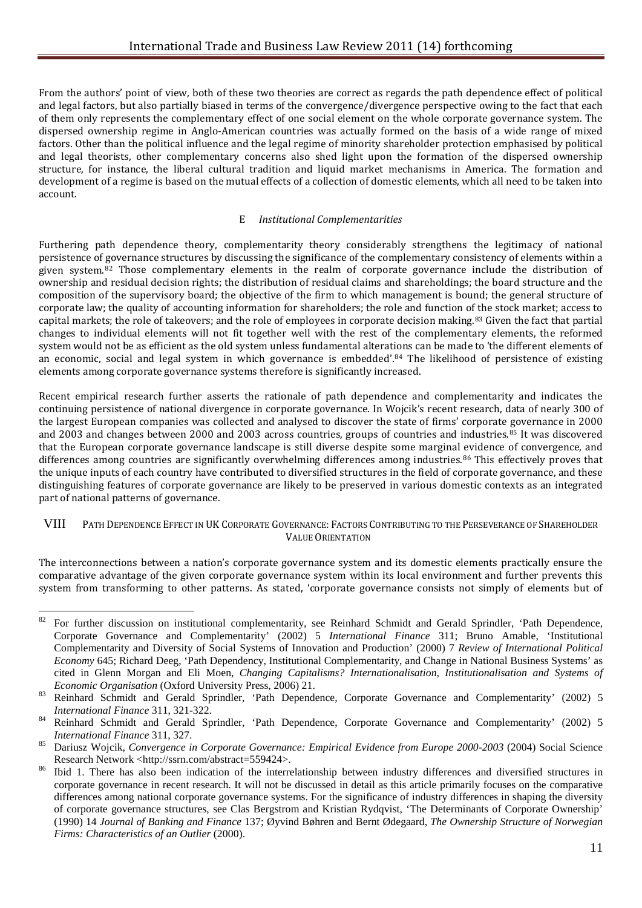From the authors' point of view, both of these two theories are correct as regards the path dependence effect of political and legal factors, but also partially biased in terms of the convergence/divergence perspective owing to the fact that each of them only represents the complementary effect of one social element on the whole corporate governance system. The dispersed ownership regime in Anglo-American countries was actually formed on the basis of a wide range of mixed factors. Other than the political influence and the legal regime of minority shareholder protection emphasised by political and legal theorists, other complementary concerns also shed light upon the formation of the dispersed ownership structure, for instance, the liberal cultural tradition and liquid market mechanisms in America. The formation and development of a regime is based on the mutual effects of a collection of domestic elements, which all need to be taken into account.

### E *Institutional Complementarities*

Furthering path dependence theory, complementarity theory considerably strengthens the legitimacy of national persistence of governance structures by discussing the significance of the complementary consistency of elements within a given system.[82](#page-11-0) Those complementary elements in the realm of corporate governance include the distribution of ownership and residual decision rights; the distribution of residual claims and shareholdings; the board structure and the composition of the supervisory board; the objective of the firm to which management is bound; the general structure of corporate law; the quality of accounting information for shareholders; the role and function of the stock market; access to capital markets; the role of takeovers; and the role of employees in corporate decision making.<sup>[83](#page-11-1)</sup> Given the fact that partial changes to individual elements will not fit together well with the rest of the complementary elements, the reformed system would not be as efficient as the old system unless fundamental alterations can be made to 'the different elements of an economic, social and legal system in which governance is embedded'.[84](#page-11-2) The likelihood of persistence of existing elements among corporate governance systems therefore is significantly increased.

Recent empirical research further asserts the rationale of path dependence and complementarity and indicates the continuing persistence of national divergence in corporate governance. In Wojcik's recent research, data of nearly 300 of the largest European companies was collected and analysed to discover the state of firms' corporate governance in 2000 and 2003 and changes between 2000 and 2003 across countries, groups of countries and industries.[85](#page-11-3) It was discovered that the European corporate governance landscape is still diverse despite some marginal evidence of convergence, and differences among countries are significantly overwhelming differences among industries.<sup>[86](#page-11-4)</sup> This effectively proves that the unique inputs of each country have contributed to diversified structures in the field of corporate governance, and these distinguishing features of corporate governance are likely to be preserved in various domestic contexts as an integrated part of national patterns of governance.

#### VIII PATH DEPENDENCE EFFECT IN UK CORPORATE GOVERNANCE: FACTORS CONTRIBUTING TO THE PERSEVERANCE OF SHAREHOLDER VALUE ORIENTATION

The interconnections between a nation's corporate governance system and its domestic elements practically ensure the comparative advantage of the given corporate governance system within its local environment and further prevents this system from transforming to other patterns. As stated, 'corporate governance consists not simply of elements but of

<span id="page-11-0"></span><sup>82</sup> <sup>82</sup> For further discussion on institutional complementarity, see Reinhard Schmidt and Gerald Sprindler, 'Path Dependence, Corporate Governance and Complementarity' (2002) 5 *International Finance* 311; Bruno Amable, 'Institutional Complementarity and Diversity of Social Systems of Innovation and Production' (2000) 7 *Review of International Political Economy* 645; Richard Deeg, 'Path Dependency, Institutional Complementarity, and Change in National Business Systems' as cited in Glenn Morgan and Eli Moen, *Changing Capitalisms? Internationalisation, Institutionalisation and Systems of Economic Organisation* (Oxford University Press, 2006) 21.<br><sup>83</sup> Reinhard Schmidt and Gerald Sprindler, 'Path Dependence, Corporate Governance and Complementarity' (2002) 5

<span id="page-11-1"></span>*International Finance* 311, 321-322.<br><sup>84</sup> Reinhard Schmidt and Gerald Sprindler, 'Path Dependence, Corporate Governance and Complementarity' (2002) 5

<span id="page-11-2"></span>

<span id="page-11-3"></span>*International Finance* 311, 327. <sup>85</sup> Dariusz Wojcik, *Convergence in Corporate Governance: Empirical Evidence from Europe 2000-2003* (2004) Social Science Research Network <http://ssrn.com/abstract=559424>.<br>Ibid 1. There has also been indication of the interrelationship between industry differences and diversified structures in

<span id="page-11-4"></span>corporate governance in recent research. It will not be discussed in detail as this article primarily focuses on the comparative differences among national corporate governance systems. For the significance of industry differences in shaping the diversity of corporate governance structures, see Clas Bergstrom and Kristian Rydqvist, 'The Determinants of Corporate Ownership' (1990) 14 *Journal of Banking and Finance* 137; Øyvind Bøhren and Bernt Ødegaard, *The Ownership Structure of Norwegian Firms: Characteristics of an Outlier* (2000).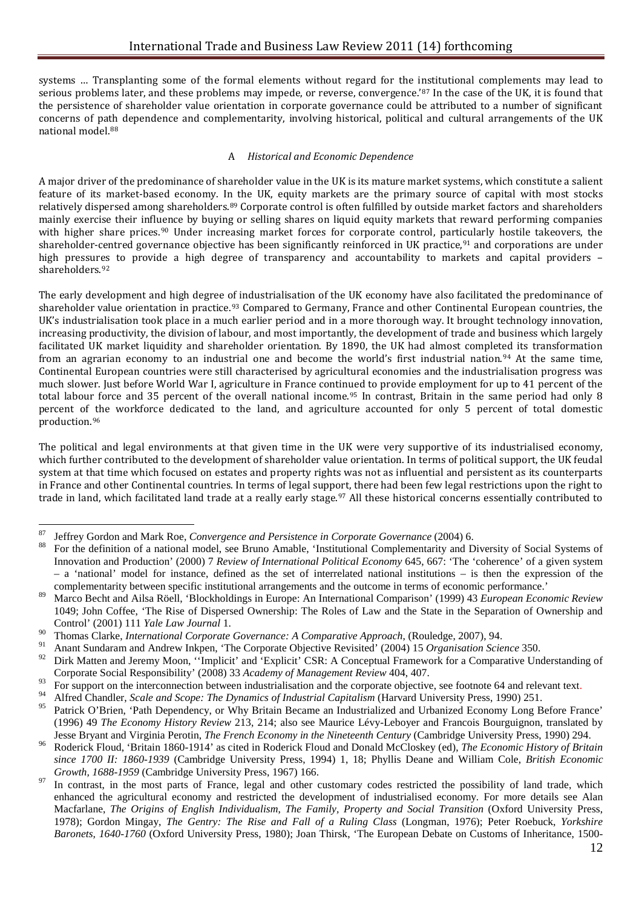systems … Transplanting some of the formal elements without regard for the institutional complements may lead to serious problems later, and these problems may impede, or reverse, convergence.'[87](#page-12-0) In the case of the UK, it is found that the persistence of shareholder value orientation in corporate governance could be attributed to a number of significant concerns of path dependence and complementarity, involving historical, political and cultural arrangements of the UK national model.[88](#page-12-1)

#### A *Historical and Economic Dependence*

A major driver of the predominance of shareholder value in the UK is its mature market systems, which constitute a salient feature of its market-based economy. In the UK, equity markets are the primary source of capital with most stocks relatively dispersed among shareholders.[89](#page-12-2) Corporate control is often fulfilled by outside market factors and shareholders mainly exercise their influence by buying or selling shares on liquid equity markets that reward performing companies with higher share prices.<sup>[90](#page-12-3)</sup> Under increasing market forces for corporate control, particularly hostile takeovers, the shareholder-centred governance objective has been significantly reinforced in UK practice,<sup>[91](#page-12-4)</sup> and corporations are under high pressures to provide a high degree of transparency and accountability to markets and capital providers – shareholders.[92](#page-12-5)

The early development and high degree of industrialisation of the UK economy have also facilitated the predominance of shareholder value orientation in practice.<sup>[93](#page-12-6)</sup> Compared to Germany, France and other Continental European countries, the UK's industrialisation took place in a much earlier period and in a more thorough way. It brought technology innovation, increasing productivity, the division of labour, and most importantly, the development of trade and business which largely facilitated UK market liquidity and shareholder orientation. By 1890, the UK had almost completed its transformation from an agrarian economy to an industrial one and become the world's first industrial nation.[94](#page-12-7) At the same time, Continental European countries were still characterised by agricultural economies and the industrialisation progress was much slower. Just before World War I, agriculture in France continued to provide employment for up to 41 percent of the total labour force and 35 percent of the overall national income.<sup>[95](#page-12-8)</sup> In contrast, Britain in the same period had only 8 percent of the workforce dedicated to the land, and agriculture accounted for only 5 percent of total domestic production.[96](#page-12-9)

The political and legal environments at that given time in the UK were very supportive of its industrialised economy, which further contributed to the development of shareholder value orientation. In terms of political support, the UK feudal system at that time which focused on estates and property rights was not as influential and persistent as its counterparts in France and other Continental countries. In terms of legal support, there had been few legal restrictions upon the right to trade in land, which facilitated land trade at a really early stage.<sup>[97](#page-12-10)</sup> All these historical concerns essentially contributed to

.<br>-

<span id="page-12-1"></span><span id="page-12-0"></span><sup>&</sup>lt;sup>87</sup> Jeffrey Gordon and Mark Roe, *Convergence and Persistence in Corporate Governance* (2004) 6.

<sup>88</sup> For the definition of a national model, see Bruno Amable, 'Institutional Complementarity and Diversity of Social Systems of Innovation and Production' (2000) 7 *Review of International Political Economy* 645, 667: 'The 'coherence' of a given system – a 'national' model for instance, defined as the set of interrelated national institutions – is then the expression of the complementarity between specific institutional arrangements and the outcome in terms of economic performance.'

<span id="page-12-2"></span><sup>89</sup> Marco Becht and Ailsa Röell, 'Blockholdings in Europe: An International Comparison' (1999) 43 *European Economic Review*  1049; John Coffee, 'The Rise of Dispersed Ownership: The Roles of Law and the State in the Separation of Ownership and Control' (2001) 111 *Yale Law Journal* 1.

<span id="page-12-3"></span><sup>90</sup> Thomas Clarke, *International Corporate Governance: A Comparative Approach*, (Rouledge, 2007), 94.

<span id="page-12-4"></span><sup>91</sup> Anant Sundaram and Andrew Inkpen, 'The Corporate Objective Revisited' (2004) 15 *Organisation Science* 350.

<span id="page-12-5"></span>Dirk Matten and Jeremy Moon, "Implicit' and 'Explicit' CSR: A Conceptual Framework for a Comparative Understanding of Corporate Social Responsibility' (2008) 33 *Academy of Management Review* 404, 407.

<span id="page-12-6"></span><sup>&</sup>lt;sup>93</sup> For support on the interconnection between industrialisation and the corporate objective, see footnote 64 and relevant text.<br><sup>94</sup> Alfred Chandler, *Scale and Scope: The Dynamics of Industrial Capitalism* (Harvard Uni

<span id="page-12-7"></span>

<span id="page-12-8"></span><sup>95</sup> Patrick O'Brien, 'Path Dependency, or Why Britain Became an Industrialized and Urbanized Economy Long Before France' (1996) 49 *The Economy History Review* 213, 214; also see Maurice Lévy-Leboyer and Francois Bourguignon, translated by

<span id="page-12-9"></span>Jesse Bryant and Virginia Perotin, *The French Economy in the Nineteenth Century* (Cambridge University Press, 1990) 294.<br>Roderick Floud, 'Britain 1860-1914' as cited in Roderick Floud and Donald McCloskey (ed), *The Econo since 1700 II: 1860-1939* (Cambridge University Press, 1994) 1, 18; Phyllis Deane and William Cole, *British Economic* 

<span id="page-12-10"></span><sup>&</sup>lt;sup>97</sup> In contrast, in the most parts of France, legal and other customary codes restricted the possibility of land trade, which enhanced the agricultural economy and restricted the development of industrialised economy. For more details see Alan Macfarlane, *The Origins of English Individualism*, *The Family, Property and Social Transition* (Oxford University Press, 1978); Gordon Mingay, *The Gentry: The Rise and Fall of a Ruling Class* (Longman, 1976); Peter Roebuck, *Yorkshire Baronets, 1640-1760* (Oxford University Press, 1980); Joan Thirsk, 'The European Debate on Customs of Inheritance, 1500-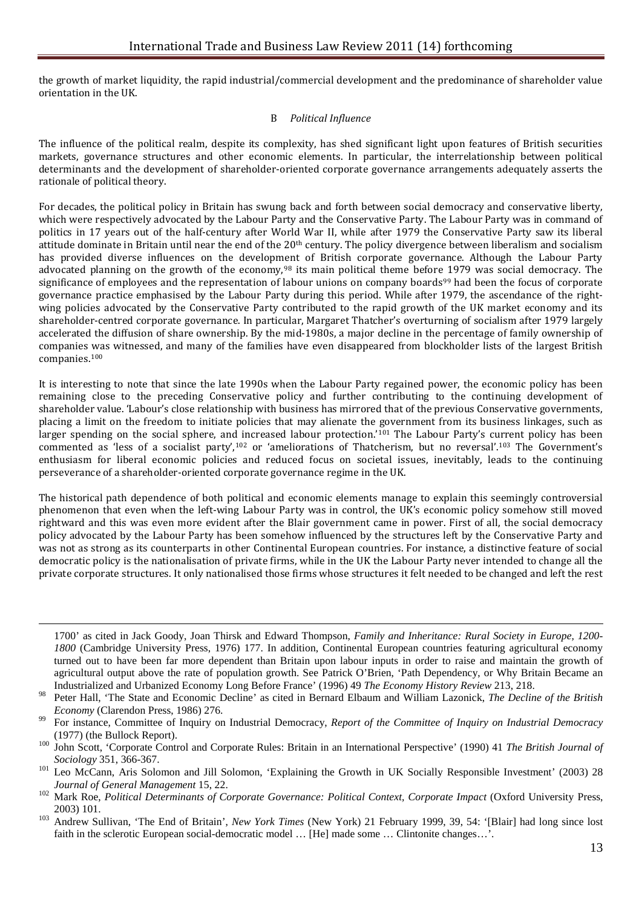the growth of market liquidity, the rapid industrial/commercial development and the predominance of shareholder value orientation in the UK.

#### B *Political Influence*

The influence of the political realm, despite its complexity, has shed significant light upon features of British securities markets, governance structures and other economic elements. In particular, the interrelationship between political determinants and the development of shareholder-oriented corporate governance arrangements adequately asserts the rationale of political theory.

For decades, the political policy in Britain has swung back and forth between social democracy and conservative liberty, which were respectively advocated by the Labour Party and the Conservative Party. The Labour Party was in command of politics in 17 years out of the half-century after World War II, while after 1979 the Conservative Party saw its liberal attitude dominate in Britain until near the end of the 20<sup>th</sup> century. The policy divergence between liberalism and socialism has provided diverse influences on the development of British corporate governance. Although the Labour Party advocated planning on the growth of the economy,[98](#page-13-0) its main political theme befor[e 1](#page-13-1)979 was social democracy. The significance of employees and the representation of labour unions on company boards<sup>99</sup> had been the focus of corporate governance practice emphasised by the Labour Party during this period. While after 1979, the ascendance of the rightwing policies advocated by the Conservative Party contributed to the rapid growth of the UK market economy and its shareholder-centred corporate governance. In particular, Margaret Thatcher's overturning of socialism after 1979 largely accelerated the diffusion of share ownership. By the mid-1980s, a major decline in the percentage of family ownership of companies was witnessed, and many of the families have even disappeared from blockholder lists of the largest British companies.[100](#page-13-2)

It is interesting to note that since the late 1990s when the Labour Party regained power, the economic policy has been remaining close to the preceding Conservative policy and further contributing to the continuing development of shareholder value. 'Labour's close relationship with business has mirrored that of the previous Conservative governments, placing a limit on the freedom to initiate policies that may alienate the government from its business linkages, such as larger spending on the social sphere, an[d in](#page-13-4)creased labour protection.<sup>'[101](#page-13-3)</sup> The Labour Party's current policy has been commented as 'less of a socialist party',102 or 'ameliorations of Thatcherism, but no reversal'.[103](#page-13-5) The Government's enthusiasm for liberal economic policies and reduced focus on societal issues, inevitably, leads to the continuing perseverance of a shareholder-oriented corporate governance regime in the UK.

The historical path dependence of both political and economic elements manage to explain this seemingly controversial phenomenon that even when the left-wing Labour Party was in control, the UK's economic policy somehow still moved rightward and this was even more evident after the Blair government came in power. First of all, the social democracy policy advocated by the Labour Party has been somehow influenced by the structures left by the Conservative Party and was not as strong as its counterparts in other Continental European countries. For instance, a distinctive feature of social democratic policy is the nationalisation of private firms, while in the UK the Labour Party never intended to change all the private corporate structures. It only nationalised those firms whose structures it felt needed to be changed and left the rest

<sup>1700&#</sup>x27; as cited in Jack Goody, Joan Thirsk and Edward Thompson, *Family and Inheritance: Rural Society in Europe, 1200- 1800* (Cambridge University Press, 1976) 177. In addition, Continental European countries featuring agricultural economy turned out to have been far more dependent than Britain upon labour inputs in order to raise and maintain the growth of agricultural output above the rate of population growth. See Patrick O'Brien, 'Path Dependency, or Why Britain Became an Industrialized and Urbanized Economy Long Before France' (1996) 49 *The Economy History Review* 213, 218.

<span id="page-13-0"></span><sup>98</sup> Peter Hall, 'The State and Economic Decline' as cited in Bernard Elbaum and William Lazonick, *The Decline of the British Economy* (Clarendon Press, 1986) 276.<br><sup>99</sup> For instance, Committee of Inquiry on Industrial Democracy, *Report of the Committee of Inquiry on Industrial Democracy* 

<span id="page-13-1"></span>

<span id="page-13-2"></span><sup>(1977) (</sup>the Bullock Report). <sup>100</sup> John Scott, 'Corporate Control and Corporate Rules: Britain in an International Perspective' (1990) 41 *The British Journal of Sociology* 351, 366-367.<br><sup>101</sup> Leo McCann, Aris Solomon and Jill Solomon, 'Explaining the Growth in UK Socially Responsible Investment' (2003) 28

<span id="page-13-4"></span><span id="page-13-3"></span>*Journal of General Management 15, 22. 102 Mark Roe, Political Context, Corporate Impact* (Oxford University Press, 102 Mark Roe, *Political Determinants of Corporate Governance: Political Context, Corporate Impact* (Oxf 2003) 101. <sup>103</sup> Andrew Sullivan, 'The End of Britain', *New York Times* (New York) 21 February 1999, 39, 54: '[Blair] had long since lost

<span id="page-13-5"></span>faith in the sclerotic European social-democratic model … [He] made some … Clintonite changes…'.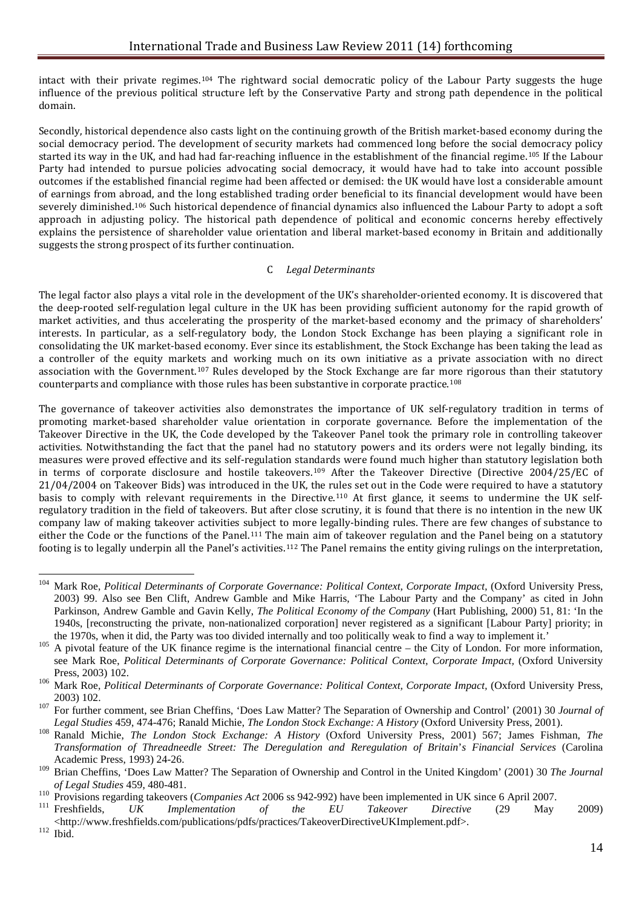intact with their private regimes.[104](#page-14-0) The rightward social democratic policy of the Labour Party suggests the huge influence of the previous political structure left by the Conservative Party and strong path dependence in the political domain.

Secondly, historical dependence also casts light on the continuing growth of the British market-based economy during the social democracy period. The development of security markets had commenced long before the social democracy policy started its way in the UK, and had had far-reaching influence in the establishment of the financial regime.[105](#page-14-1) If the Labour Party had intended to pursue policies advocating social democracy, it would have had to take into account possible outcomes if the established financial regime had been affected or demised: the UK would have lost a considerable amount of earnings from abroad, and the long established trading order beneficial to its financial development would have been severely diminished.[106](#page-14-2) Such historical dependence of financial dynamics also influenced the Labour Party to adopt a soft approach in adjusting policy. The historical path dependence of political and economic concerns hereby effectively explains the persistence of shareholder value orientation and liberal market-based economy in Britain and additionally suggests the strong prospect of its further continuation.

#### C *Legal Determinants*

The legal factor also plays a vital role in the development of the UK's shareholder-oriented economy. It is discovered that the deep-rooted self-regulation legal culture in the UK has been providing sufficient autonomy for the rapid growth of market activities, and thus accelerating the prosperity of the market-based economy and the primacy of shareholders' interests. In particular, as a self-regulatory body, the London Stock Exchange has been playing a significant role in consolidating the UK market-based economy. Ever since its establishment, the Stock Exchange has been taking the lead as a controller of the equity markets and working much on its own initiative as a private association with no direct association with the Government.[107](#page-14-3) Rules developed by the Stock Exchange are far more rigorous than their statutory counterparts and compliance with those rules has been substantive in corporate practice.[108](#page-14-4)

The governance of takeover activities also demonstrates the importance of UK self-regulatory tradition in terms of promoting market-based shareholder value orientation in corporate governance. Before the implementation of the Takeover Directive in the UK, the Code developed by the Takeover Panel took the primary role in controlling takeover activities. Notwithstanding the fact that the panel had no statutory powers and its orders were not legally binding, its measures were proved effective and its self-regulation standards were found much higher than statutory legislation both in terms of corporate disclosure and hostile takeovers.[109](#page-14-5) After the Takeover Directive (Directive 2004/25/EC of 21/04/2004 on Takeover Bids) was introduced in the UK, the rules set out in the Code were required to have a statutory basis to comply with relevant requirements in the Directive.<sup>[110](#page-14-6)</sup> At first glance, it seems to undermine the UK selfregulatory tradition in the field of takeovers. But after close scrutiny, it is found that there is no intention in the new UK company law of making takeover activities subject to more legally-binding rules. There are few changes of substance to either the Code or the functions of the Panel.<sup>[111](#page-14-7)</sup> The main aim of takeover regulation and the Panel being on a statutory footing is to legally underpin all the Panel's activities.<sup>[112](#page-14-8)</sup> The Panel remains the entity giving rulings on the interpretation,

<span id="page-14-0"></span><sup>104</sup> <sup>104</sup> Mark Roe, *Political Determinants of Corporate Governance: Political Context, Corporate Impact,* (Oxford University Press, 2003) 99. Also see Ben Clift, Andrew Gamble and Mike Harris, 'The Labour Party and the Company' as cited in John Parkinson, Andrew Gamble and Gavin Kelly, *The Political Economy of the Company* (Hart Publishing, 2000) 51, 81: 'In the 1940s, [reconstructing the private, non-nationalized corporation] never registered as a significant [Labour Party] priority; in the 1970s, when it did, the Party was too divided internally and too politically weak to find a way to implement it.'

<span id="page-14-1"></span><sup>105</sup> A pivotal feature of the UK finance regime is the international financial centre – the City of London. For more information, see Mark Roe, *Political Determinants of Corporate Governance: Political Context, Corporate Impact,* (Oxford University

<span id="page-14-2"></span>Press, 2003) 102.<br>
<sup>106</sup> Mark Roe, *Political Determinants of Corporate Governance: Political Context, Corporate Impact, (Oxford University Press, 2003) 102.* 

<span id="page-14-3"></span><sup>&</sup>lt;sup>107</sup> For further comment, see Brian Cheffins, 'Does Law Matter? The Separation of Ownership and Control' (2001) 30 *Journal of* 

<span id="page-14-4"></span>Legal Studies 459, 474-476; Ranald Michie, The London Stock Exchange: A History (Oxford University Press, 2001).<br><sup>108</sup> Ranald Michie, *The London Stock Exchange: A History* (Oxford University Press, 2001) 567; James Fishma *Transformation of Threadneedle Street: The Deregulation and Reregulation of Britain*'*s Financial Services* (Carolina Academic Press, 1993) 24-26.

<span id="page-14-5"></span><sup>&</sup>lt;sup>109</sup> Brian Cheffins, 'Does Law Matter? The Separation of Ownership and Control in the United Kingdom' (2001) 30 *The Journal of Legal Studies* 459, 480-481.

<span id="page-14-6"></span><sup>&</sup>lt;sup>110</sup> Provisions regarding takeovers (*Companies Act* 2006 ss 942-992) have been implemented in UK since 6 April 2007.<br><sup>111</sup> Freshfields, UK Implementation of the EU Takeover Directive (29 May 2009)

<span id="page-14-7"></span> $<$ http://www.freshfields.com/publications/pdfs/practices/TakeoverDirectiveUKImplement.pdf>. $^{112}$ Ibid

<span id="page-14-8"></span>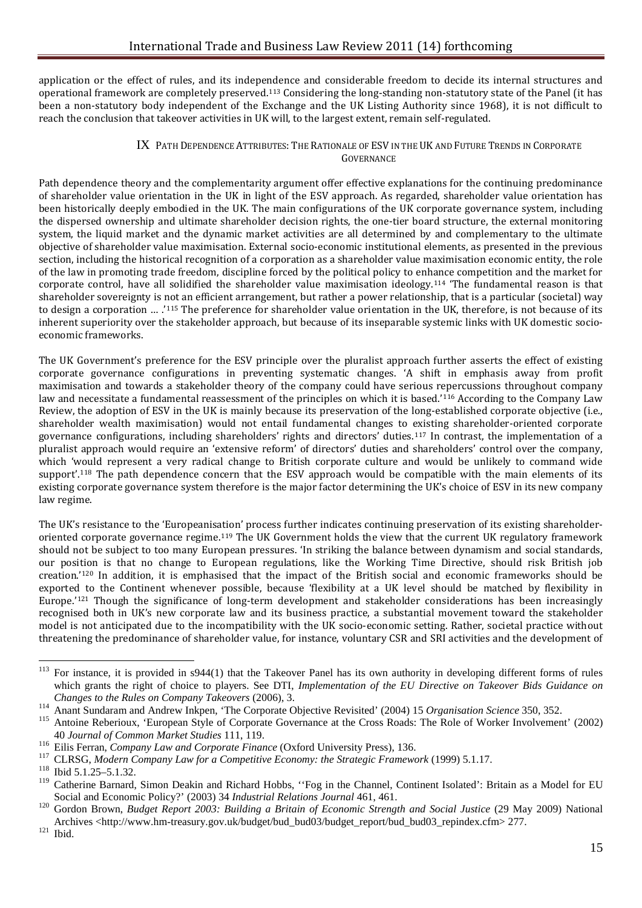application or the effect of rules, and its independence and considerable freedom to decide its internal structures and operational framework are completely preserved.[113](#page-15-0) Considering the long-standing non-statutory state of the Panel (it has been a non-statutory body independent of the Exchange and the UK Listing Authority since 1968), it is not difficult to reach the conclusion that takeover activities in UK will, to the largest extent, remain self-regulated.

#### IX PATH DEPENDENCE ATTRIBUTES: THE RATIONALE OF ESV IN THE UK AND FUTURE TRENDS IN CORPORATE GOVERNANCE

Path dependence theory and the complementarity argument offer effective explanations for the continuing predominance of shareholder value orientation in the UK in light of the ESV approach. As regarded, shareholder value orientation has been historically deeply embodied in the UK. The main configurations of the UK corporate governance system, including the dispersed ownership and ultimate shareholder decision rights, the one-tier board structure, the external monitoring system, the liquid market and the dynamic market activities are all determined by and complementary to the ultimate objective of shareholder value maximisation. External socio-economic institutional elements, as presented in the previous section, including the historical recognition of a corporation as a shareholder value maximisation economic entity, the role of the law in promoting trade freedom, discipline forced by the political policy to enhance competition and the market for corporate control, have all solidified the shareholder value maximisation ideology.[114](#page-15-1) 'The fundamental reason is that shareholder sovereignty is not an efficient arrangement, but rather a power relationship, that is a particular (societal) way to design a corporation … .'[115](#page-15-2) The preference for shareholder value orientation in the UK, therefore, is not because of its inherent superiority over the stakeholder approach, but because of its inseparable systemic links with UK domestic socioeconomic frameworks.

The UK Government's preference for the ESV principle over the pluralist approach further asserts the effect of existing corporate governance configurations in preventing systematic changes. 'A shift in emphasis away from profit maximisation and towards a stakeholder theory of the company could have serious repercussions throughout company law and necessitate a fundamental reassessment of the principles on which it is based.'<sup>[116](#page-15-3)</sup> According to the Company Law Review, the adoption of ESV in the UK is mainly because its preservation of the long-established corporate objective (i.e., shareholder wealth maximisation) would not entail fundamental changes to existing shareholder-oriented corporate governance configurations, including shareholders' rights and directors' duties.[117](#page-15-4) In contrast, the implementation of a pluralist approach would require an 'extensive reform' of directors' duties and shareholders' control over the company, which 'would represent a very radical change to British corporate culture and would be unlikely to command wide support'.<sup>[118](#page-15-5)</sup> The path dependence concern that the ESV approach would be compatible with the main elements of its existing corporate governance system therefore is the major factor determining the UK's choice of ESV in its new company law regime.

The UK's resistance to the 'Europeanisation' process further indicates continuing preservation of its existing shareholderoriented corporate governance regime.[119](#page-15-6) The UK Government holds the view that the current UK regulatory framework should not be subject to too many European pressures. 'In striking the balance between dynamism and social standards, our position is that no change to European regulations, like the Working Time Directive, should risk British job creation.'[120](#page-15-7) In addition, it is emphasised that the impact of the British social and economic frameworks should be exported to the Continent whenever possible, because 'flexibility at a UK level should be matched by flexibility in Europe.'[121](#page-15-8) Though the significance of long-term development and stakeholder considerations has been increasingly recognised both in UK's new corporate law and its business practice, a substantial movement toward the stakeholder model is not anticipated due to the incompatibility with the UK socio-economic setting. Rather, societal practice without threatening the predominance of shareholder value, for instance, voluntary CSR and SRI activities and the development of

<span id="page-15-0"></span><sup>&</sup>lt;sup>113</sup> For instance, it is provided in s944(1) that the Takeover Panel has its own authority in developing different forms of rules which grants the right of choice to players. See DTI, *Implementation of the EU Directive on Takeover Bids Guidance on Changes to the Rules on Company Takeovers* (2006), 3.

<span id="page-15-1"></span><sup>&</sup>lt;sup>114</sup> Anant Sundaram and Andrew Inkpen, 'The Corporate Objective Revisited' (2004) 15 Organisation Science 350, 352.<br><sup>115</sup> Antoine Reberioux, 'European Style of Corporate Governance at the Cross Roads: The Role of Worker I

<span id="page-15-3"></span>

<span id="page-15-2"></span><sup>40</sup> Journal of Common Market Studies 111, 119.<br>
<sup>116</sup> Eilis Ferran, Company Law and Corporate Finance (Oxford University Press), 136.<br>
<sup>117</sup> CLRSG, Modern Company Law for a Competitive Economy: the Strategic Framework (1999

<span id="page-15-4"></span>

<span id="page-15-6"></span><span id="page-15-5"></span><sup>&</sup>lt;sup>119</sup> Catherine Barnard, Simon Deakin and Richard Hobbs, "Fog in the Channel, Continent Isolated': Britain as a Model for EU Social and Economic Policy?' (2003) 34 *Industrial Relations Journal* 461, 461.

<span id="page-15-7"></span>Social and Economic Policy?' (2003) 34 *Industrial Relations Journal* 461, 461. <sup>120</sup> Gordon Brown, *Budget Report 2003: Building a Britain of Economic Strength and Social Justice* (29 May 2009) National Archives <http://www.hm-treasury.gov.uk/budget/bud\_bud03/budget\_report/bud\_bud03\_repindex.cfm> 277. <sup>121</sup> Ibid.

<span id="page-15-8"></span>